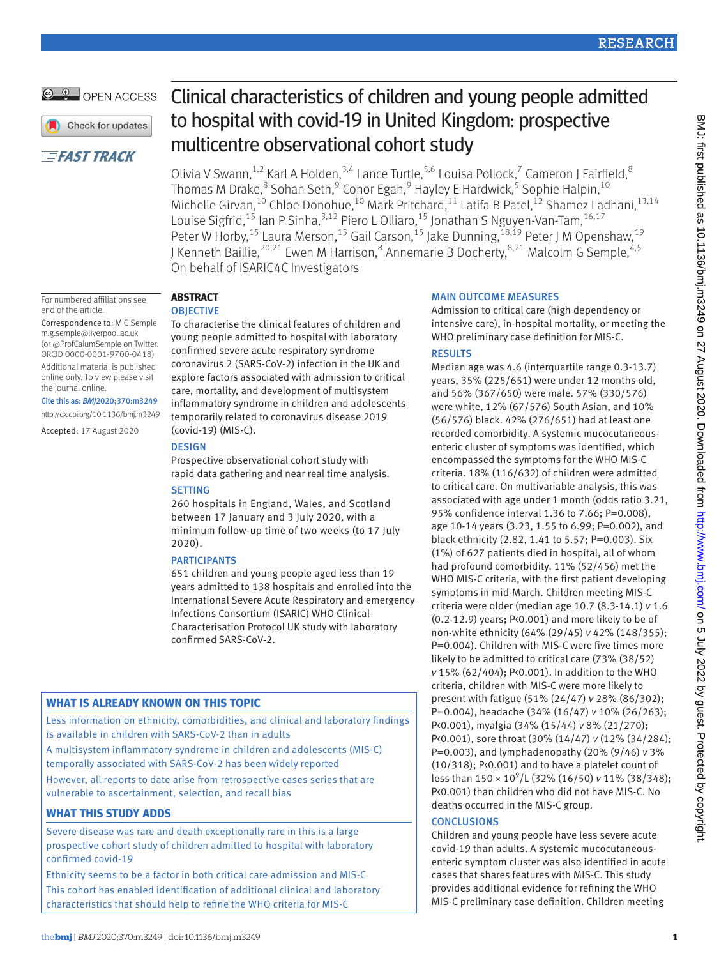# **RESEARCH**

# OPEN ACCESS

Check for updates

# **EFAST TRACK**

#### For numbered affiliations see end of the article.

Correspondence to: M G Semple [m.g.semple@liverpool.ac.uk](mailto:m.g.semple@liverpool.ac.uk)  (or [@ProfCalumSemple](https://twitter.com/ProfCalumSemple) on Twitter: ORCID [0000-0001-9700-0418\)](https://orcid.org/0000-0001-9700-0418) Additional material is published online only. To view please visit the journal online.

## Cite this as: *BMJ*2020;370:m3249

http://dx.doi.org/10.1136/bmj.m3249

Accepted: 17 August 2020

# Clinical characteristics of children and young people admitted to hospital with covid-19 in United Kingdom: prospective multicentre observational cohort study

Olivia V Swann,  $^{1,2}$  Karl A Holden,  $^{3,4}$  Lance Turtle,  $^{5,6}$  Louisa Pollock,  $^7$  Cameron J Fairfield,  $^8$ Thomas M Drake,<sup>8</sup> Sohan Seth,<sup>9</sup> Conor Egan,<sup>9</sup> Hayley E Hardwick,<sup>5</sup> Sophie Halpin,<sup>10</sup> Michelle Girvan,<sup>10</sup> Chloe Donohue,<sup>10</sup> Mark Pritchard,<sup>11</sup> Latifa B Patel,<sup>12</sup> Shamez Ladhani,<sup>13,14</sup> Louise Sigfrid,<sup>15</sup> Ian P Sinha,<sup>3,12</sup> Piero L Olliaro,<sup>15</sup> Jonathan S Nguyen-Van-Tam,<sup>16,17</sup> Peter W Horby,<sup>15</sup> Laura Merson,<sup>15</sup> Gail Carson,<sup>15</sup> Jake Dunning,<sup>18,19</sup> Peter J M Openshaw,<sup>19</sup> J Kenneth Baillie,<sup>20,21</sup> Ewen M Harrison,<sup>8</sup> Annemarie B Docherty,<sup>8,21</sup> Malcolm G Semple,<sup>4,5</sup> On behalf of ISARIC4C Investigators

## **Abstract OBJECTIVE**

To characterise the clinical features of children and young people admitted to hospital with laboratory confirmed severe acute respiratory syndrome coronavirus 2 (SARS-CoV-2) infection in the UK and explore factors associated with admission to critical care, mortality, and development of multisystem inflammatory syndrome in children and adolescents temporarily related to coronavirus disease 2019 (covid-19) (MIS-C).

## **DESIGN**

Prospective observational cohort study with rapid data gathering and near real time analysis.

## **SETTING**

260 hospitals in England, Wales, and Scotland between 17 January and 3 July 2020, with a minimum follow-up time of two weeks (to 17 July 2020).

## **PARTICIPANTS**

651 children and young people aged less than 19 years admitted to 138 hospitals and enrolled into the International Severe Acute Respiratory and emergency Infections Consortium (ISARIC) WHO Clinical Characterisation Protocol UK study with laboratory confirmed SARS-CoV-2.

## **What is already known on this topic**

Less information on ethnicity, comorbidities, and clinical and laboratory findings is available in children with SARS-CoV-2 than in adults

A multisystem inflammatory syndrome in children and adolescents (MIS-C) temporally associated with SARS-CoV-2 has been widely reported

However, all reports to date arise from retrospective cases series that are vulnerable to ascertainment, selection, and recall bias

## **What this study adds**

Severe disease was rare and death exceptionally rare in this is a large prospective cohort study of children admitted to hospital with laboratory confirmed covid-19

Ethnicity seems to be a factor in both critical care admission and MIS-C This cohort has enabled identification of additional clinical and laboratory characteristics that should help to refine the WHO criteria for MIS-C

## Main outcome measures

Admission to critical care (high dependency or intensive care), in-hospital mortality, or meeting the WHO preliminary case definition for MIS-C.

## **RESULTS**

Median age was 4.6 (interquartile range 0.3-13.7) years, 35% (225/651) were under 12 months old, and 56% (367/650) were male. 57% (330/576) were white, 12% (67/576) South Asian, and 10% (56/576) black. 42% (276/651) had at least one recorded comorbidity. A systemic mucocutaneousenteric cluster of symptoms was identified, which encompassed the symptoms for the WHO MIS-C criteria. 18% (116/632) of children were admitted to critical care. On multivariable analysis, this was associated with age under 1 month (odds ratio 3.21, 95% confidence interval 1.36 to 7.66; P=0.008), age 10-14 years (3.23, 1.55 to 6.99; P=0.002), and black ethnicity (2.82, 1.41 to 5.57; P=0.003). Six (1%) of 627 patients died in hospital, all of whom had profound comorbidity. 11% (52/456) met the WHO MIS-C criteria, with the first patient developing symptoms in mid-March. Children meeting MIS-C criteria were older (median age 10.7 (8.3-14.1) *v* 1.6 (0.2-12.9) years; P<0.001) and more likely to be of non-white ethnicity (64% (29/45) *v* 42% (148/355); P=0.004). Children with MIS-C were five times more likely to be admitted to critical care (73% (38/52) *v* 15% (62/404); P<0.001). In addition to the WHO criteria, children with MIS-C were more likely to present with fatigue (51% (24/47) *v* 28% (86/302); P=0.004), headache (34% (16/47) *v* 10% (26/263); P<0.001), myalgia (34% (15/44) *v* 8% (21/270); P<0.001), sore throat (30% (14/47) *v* (12% (34/284); P=0.003), and lymphadenopathy (20% (9/46) *v* 3% (10/318); P<0.001) and to have a platelet count of less than 150 × 10<sup>9</sup>/L (32% (16/50) *v* 11% (38/348); P<0.001) than children who did not have MIS-C. No deaths occurred in the MIS-C group.

## **CONCLUSIONS**

Children and young people have less severe acute covid-19 than adults. A systemic mucocutaneousenteric symptom cluster was also identified in acute cases that shares features with MIS-C. This study provides additional evidence for refining the WHO MIS-C preliminary case definition. Children meeting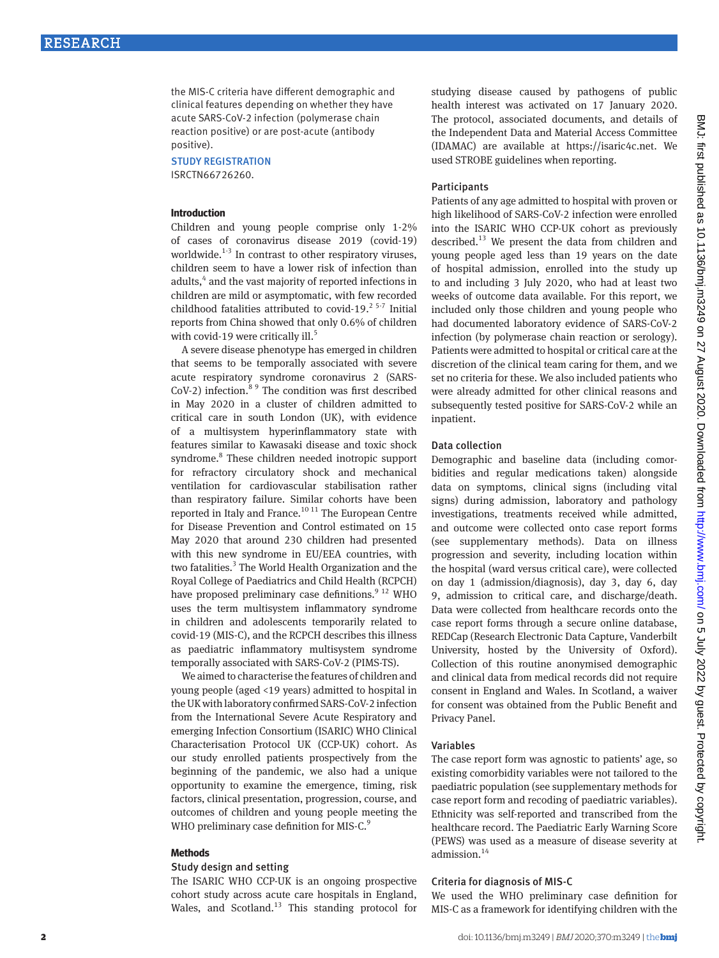the MIS-C criteria have different demographic and clinical features depending on whether they have acute SARS-CoV-2 infection (polymerase chain reaction positive) or are post-acute (antibody positive).

Study registration ISRCTN66726260.

#### **Introduction**

Children and young people comprise only 1-2% of cases of coronavirus disease 2019 (covid-19) worldwide.<sup>1-3</sup> In contrast to other respiratory viruses, children seem to have a lower risk of infection than adults,<sup>4</sup> and the vast majority of reported infections in children are mild or asymptomatic, with few recorded childhood fatalities attributed to covid-19. $25-7$  Initial reports from China showed that only 0.6% of children with covid-19 were critically ill.<sup>5</sup>

A severe disease phenotype has emerged in children that seems to be temporally associated with severe acute respiratory syndrome coronavirus 2 (SARS-CoV-2) infection.<sup>8 9</sup> The condition was first described in May 2020 in a cluster of children admitted to critical care in south London (UK), with evidence of a multisystem hyperinflammatory state with features similar to Kawasaki disease and toxic shock syndrome.<sup>8</sup> These children needed inotropic support for refractory circulatory shock and mechanical ventilation for cardiovascular stabilisation rather than respiratory failure. Similar cohorts have been reported in Italy and France.<sup>10 11</sup> The European Centre for Disease Prevention and Control estimated on 15 May 2020 that around 230 children had presented with this new syndrome in EU/EEA countries, with two fatalities.<sup>3</sup> The World Health Organization and the Royal College of Paediatrics and Child Health (RCPCH) have proposed preliminary case definitions.<sup>9 12</sup> WHO uses the term multisystem inflammatory syndrome in children and adolescents temporarily related to covid-19 (MIS-C), and the RCPCH describes this illness as paediatric inflammatory multisystem syndrome temporally associated with SARS-CoV-2 (PIMS-TS).

We aimed to characterise the features of children and young people (aged <19 years) admitted to hospital in the UK with laboratory confirmed SARS-CoV-2 infection from the International Severe Acute Respiratory and emerging Infection Consortium (ISARIC) WHO Clinical Characterisation Protocol UK (CCP-UK) cohort. As our study enrolled patients prospectively from the beginning of the pandemic, we also had a unique opportunity to examine the emergence, timing, risk factors, clinical presentation, progression, course, and outcomes of children and young people meeting the WHO preliminary case definition for MIS-C.<sup>9</sup>

#### **Methods**

#### Study design and setting

The ISARIC WHO CCP-UK is an ongoing prospective cohort study across acute care hospitals in England, Wales, and Scotland.<sup>13</sup> This standing protocol for studying disease caused by pathogens of public health interest was activated on 17 January 2020. The protocol, associated documents, and details of the Independent Data and Material Access Committee (IDAMAC) are available at <https://isaric4c.net>. We used STROBE guidelines when reporting.

#### **Participants**

Patients of any age admitted to hospital with proven or high likelihood of SARS-CoV-2 infection were enrolled into the ISARIC WHO CCP-UK cohort as previously described.<sup>13</sup> We present the data from children and young people aged less than 19 years on the date of hospital admission, enrolled into the study up to and including 3 July 2020, who had at least two weeks of outcome data available. For this report, we included only those children and young people who had documented laboratory evidence of SARS-CoV-2 infection (by polymerase chain reaction or serology). Patients were admitted to hospital or critical care at the discretion of the clinical team caring for them, and we set no criteria for these. We also included patients who were already admitted for other clinical reasons and subsequently tested positive for SARS-CoV-2 while an inpatient.

#### Data collection

Demographic and baseline data (including comorbidities and regular medications taken) alongside data on symptoms, clinical signs (including vital signs) during admission, laboratory and pathology investigations, treatments received while admitted, and outcome were collected onto case report forms (see supplementary methods). Data on illness progression and severity, including location within the hospital (ward versus critical care), were collected on day 1 (admission/diagnosis), day 3, day 6, day 9, admission to critical care, and discharge/death. Data were collected from healthcare records onto the case report forms through a secure online database, REDCap (Research Electronic Data Capture, Vanderbilt University, hosted by the University of Oxford). Collection of this routine anonymised demographic and clinical data from medical records did not require consent in England and Wales. In Scotland, a waiver for consent was obtained from the Public Benefit and Privacy Panel.

#### Variables

The case report form was agnostic to patients' age, so existing comorbidity variables were not tailored to the paediatric population (see supplementary methods for case report form and recoding of paediatric variables). Ethnicity was self-reported and transcribed from the healthcare record. The Paediatric Early Warning Score (PEWS) was used as a measure of disease severity at admission.<sup>14</sup>

## Criteria for diagnosis of MIS-C

We used the WHO preliminary case definition for MIS-C as a framework for identifying children with the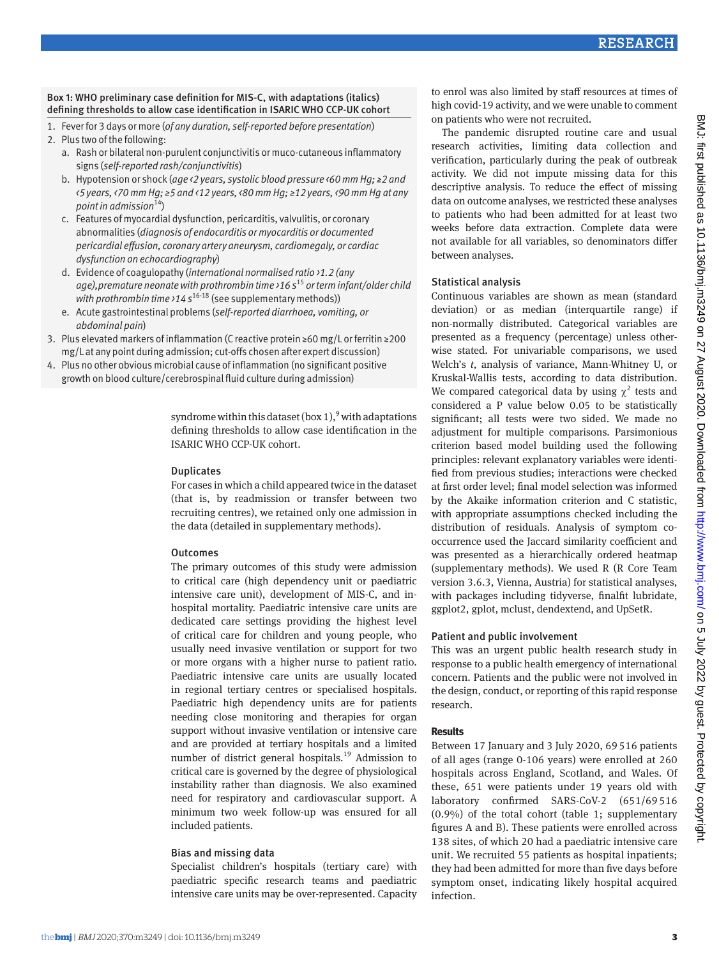## Box 1: WHO preliminary case definition for MIS-C, with adaptations (italics) defining thresholds to allow case identification in ISARIC WHO CCP-UK cohort

- 1. Fever for 3 days or more (*of any duration, self-reported before presentation*)
- 2. Plus two of the following:
	- a. Rash or bilateral non-purulent conjunctivitis or muco-cutaneous inflammatory signs (*self-reported rash/conjunctivitis*)
	- b. Hypotension or shock (*age <2 years, systolic blood pressure <60 mm Hg; ≥2 and <5 years, <70 mm Hg; ≥5 and <12 years, <80 mm Hg; ≥12 years, <90 mm Hg at any point in admission*14)
	- c. Features of myocardial dysfunction, pericarditis, valvulitis, or coronary abnormalities (*diagnosis of endocarditis or myocarditis or documented pericardial effusion, coronary artery aneurysm, cardiomegaly, or cardiac dysfunction on echocardiography*)
	- d. Evidence of coagulopathy (*international normalised ratio >1.2 (any age),premature neonate with prothrombin time >16 s*<sup>15</sup> *or term infant/older child*  with prothrombin time >14 s<sup>16-18</sup> (see supplementary methods))
	- e. Acute gastrointestinal problems (*self-reported diarrhoea, vomiting, or abdominal pain*)
- 3. Plus elevated markers of inflammation (C reactive protein ≥60 mg/L or ferritin ≥200 mg/L at any point during admission; cut-offs chosen after expert discussion)
- 4. Plus no other obvious microbial cause of inflammation (no significant positive growth on blood culture/cerebrospinal fluid culture during admission)

syndrome within this dataset (box  $1$ ),  $9$  with adaptations defining thresholds to allow case identification in the ISARIC WHO CCP-UK cohort.

## Duplicates

For cases in which a child appeared twice in the dataset (that is, by readmission or transfer between two recruiting centres), we retained only one admission in the data (detailed in supplementary methods).

## **Outcomes**

The primary outcomes of this study were admission to critical care (high dependency unit or paediatric intensive care unit), development of MIS-C, and inhospital mortality. Paediatric intensive care units are dedicated care settings providing the highest level of critical care for children and young people, who usually need invasive ventilation or support for two or more organs with a higher nurse to patient ratio. Paediatric intensive care units are usually located in regional tertiary centres or specialised hospitals. Paediatric high dependency units are for patients needing close monitoring and therapies for organ support without invasive ventilation or intensive care and are provided at tertiary hospitals and a limited number of district general hospitals.19 Admission to critical care is governed by the degree of physiological instability rather than diagnosis. We also examined need for respiratory and cardiovascular support. A minimum two week follow-up was ensured for all included patients.

## Bias and missing data

Specialist children's hospitals (tertiary care) with paediatric specific research teams and paediatric intensive care units may be over-represented. Capacity

to enrol was also limited by staff resources at times of high covid-19 activity, and we were unable to comment on patients who were not recruited.

The pandemic disrupted routine care and usual research activities, limiting data collection and verification, particularly during the peak of outbreak activity. We did not impute missing data for this descriptive analysis. To reduce the effect of missing data on outcome analyses, we restricted these analyses to patients who had been admitted for at least two weeks before data extraction. Complete data were not available for all variables, so denominators differ between analyses.

## Statistical analysis

Continuous variables are shown as mean (standard deviation) or as median (interquartile range) if non-normally distributed. Categorical variables are presented as a frequency (percentage) unless otherwise stated. For univariable comparisons, we used Welch's *t*, analysis of variance, Mann-Whitney U, or Kruskal-Wallis tests, according to data distribution. We compared categorical data by using  $\chi^2$  tests and considered a P value below 0.05 to be statistically significant; all tests were two sided. We made no adjustment for multiple comparisons. Parsimonious criterion based model building used the following principles: relevant explanatory variables were identified from previous studies; interactions were checked at first order level; final model selection was informed by the Akaike information criterion and C statistic, with appropriate assumptions checked including the distribution of residuals. Analysis of symptom cooccurrence used the Jaccard similarity coefficient and was presented as a hierarchically ordered heatmap (supplementary methods). We used R (R Core Team version 3.6.3, Vienna, Austria) for statistical analyses, with packages including tidyverse, finalfit lubridate, ggplot2, gplot, mclust, dendextend, and UpSetR.

## Patient and public involvement

This was an urgent public health research study in response to a public health emergency of international concern. Patients and the public were not involved in the design, conduct, or reporting of this rapid response research.

## **Results**

Between 17 January and 3 July 2020, 69 516 patients of all ages (range 0-106 years) were enrolled at 260 hospitals across England, Scotland, and Wales. Of these, 651 were patients under 19 years old with laboratory confirmed SARS-CoV-2 (651/69 516 (0.9%) of the total cohort (table 1; supplementary figures A and B). These patients were enrolled across 138 sites, of which 20 had a paediatric intensive care unit. We recruited 55 patients as hospital inpatients; they had been admitted for more than five days before symptom onset, indicating likely hospital acquired infection.

BMJ: first published as 10.1136/bmj.m3249 on 27 August 2020. Downloaded from http://www.bmj.com/ on 5 July 2022 by guest. Protected by copyright BMJ: first published as 10.1136/bmj.m3249 on 27 August 2020. Downloaded from <http://www.bmj.com/> on 5 July 2022 by guest. Protected by copyright.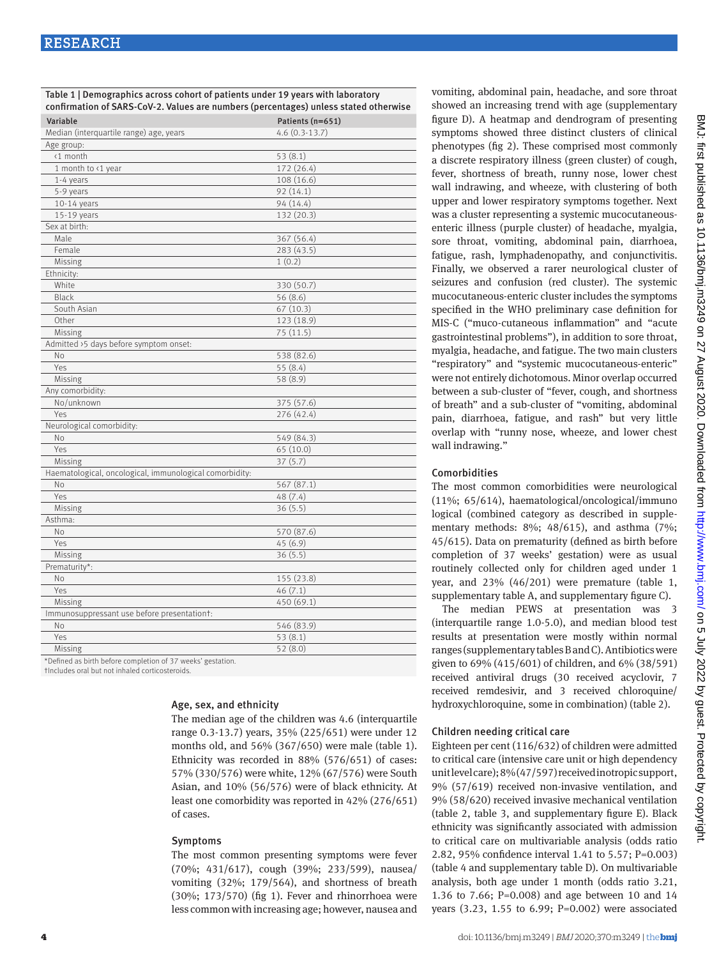Table 1 | Demographics across cohort of patients under 19 years with laboratory confirmation of SARS -CoV-2. Values are numbers (percentages) unless stated otherwise

| Variable                                                   | Patients (n=651) |
|------------------------------------------------------------|------------------|
| Median (interquartile range) age, years                    | $4.6(0.3-13.7)$  |
| Age group:                                                 |                  |
| <1 month                                                   | 53(8.1)          |
| 1 month to <1 year                                         | 172 (26.4)       |
| 1-4 years                                                  | 108 (16.6)       |
| 5-9 years                                                  | 92 (14.1)        |
| $10-14$ years                                              | 94 (14.4)        |
| 15-19 years                                                | 132 (20.3)       |
| Sex at birth:                                              |                  |
| Male                                                       | 367 (56.4)       |
| Female                                                     | 283 (43.5)       |
| Missing                                                    | 1(0.2)           |
| Ethnicity:                                                 |                  |
| White                                                      | 330 (50.7)       |
| Black                                                      | 56 (8.6)         |
| South Asian                                                | 67 (10.3)        |
| Other                                                      | 123 (18.9)       |
| Missing                                                    | 75 (11.5)        |
| Admitted >5 days before symptom onset:                     |                  |
| No                                                         | 538 (82.6)       |
| Yes                                                        | 55 (8.4)         |
| Missing                                                    | 58 (8.9)         |
| Any comorbidity:                                           |                  |
| No/unknown                                                 | 375 (57.6)       |
| Yes                                                        | 276 (42.4)       |
| Neurological comorbidity:                                  |                  |
| <b>No</b>                                                  | 549 (84.3)       |
| Yes                                                        | 65 (10.0)        |
| Missing                                                    | 37(5.7)          |
| Haematological, oncological, immunological comorbidity:    |                  |
| <b>No</b>                                                  | 567 (87.1)       |
| Yes                                                        | 48 (7.4)         |
| Missing                                                    | 36(5.5)          |
| Asthma:                                                    |                  |
| No                                                         | 570 (87.6)       |
| Yes                                                        | 45 (6.9)         |
| Missing                                                    | 36(5.5)          |
| Prematurity*:                                              |                  |
| No                                                         | 155 (23.8)       |
| Yes                                                        | 46(7.1)          |
| Missing                                                    | 450 (69.1)       |
| Immunosuppressant use before presentationt:                |                  |
| No                                                         | 546 (83.9)       |
| Yes                                                        | 53(8.1)          |
| Missing                                                    | 52(8.0)          |
| *Defined as birth before completion of 37 weeks' gestation |                  |

\*Defined as birth before completion of 37 weeks' gestation.

†Includes oral but not inhaled corticosteroids.

#### Age, sex, and ethnicity

The median age of the children was 4.6 (interquartile range 0.3-13.7) years, 35% (225/651) were under 12 months old, and 56% (367/650) were male (table 1). Ethnicity was recorded in 88% (576/651) of cases: 57% (330/576) were white, 12% (67/576) were South Asian, and 10% (56/576) were of black ethnicity. At least one comorbidity was reported in 42% (276/651) of cases.

#### Symptoms

The most common presenting symptoms were fever (70%; 431/617), cough (39%; 233/599), nausea/ vomiting (32%; 179/564), and shortness of breath (30%; 173/570) (fig 1). Fever and rhinorrhoea were less common with increasing age; however, nausea and

vomiting, abdominal pain, headache, and sore throat showed an increasing trend with age (supplementary figure D). A heatmap and dendrogram of presenting symptoms showed three distinct clusters of clinical phenotypes (fig 2). These comprised most commonly a discrete respiratory illness (green cluster) of cough, fever, shortness of breath, runny nose, lower chest wall indrawing, and wheeze, with clustering of both upper and lower respiratory symptoms together. Next was a cluster representing a systemic mucocutaneousenteric illness (purple cluster) of headache, myalgia, sore throat, vomiting, abdominal pain, diarrhoea, fatigue, rash, lymphadenopathy, and conjunctivitis. Finally, we observed a rarer neurological cluster of seizures and confusion (red cluster). The systemic mucocutaneous-enteric cluster includes the symptoms specified in the WHO preliminary case definition for MIS-C ("muco-cutaneous inflammation" and "acute gastrointestinal problems"), in addition to sore throat, myalgia, headache, and fatigue. The two main clusters "respiratory" and "systemic mucocutaneous-enteric" were not entirely dichotomous. Minor overlap occurred between a sub-cluster of "fever, cough, and shortness of breath" and a sub-cluster of "vomiting, abdominal pain, diarrhoea, fatigue, and rash" but very little overlap with "runny nose, wheeze, and lower chest wall indrawing."

## Comorbidities

The most common comorbidities were neurological (11%; 65/614), haematological/oncological/immuno logical (combined category as described in supplementary methods:  $8\frac{6}{3}$ ;  $48/615$ ), and asthma (7%; 45/615). Data on prematurity (defined as birth before completion of 37 weeks' gestation) were as usual routinely collected only for children aged under 1 year, and 23% (46/201) were premature (table 1, supplementary table A, and supplementary figure C).

The median PEWS at presentation was 3 (interquartile range 1.0-5.0), and median blood test results at presentation were mostly within normal ranges (supplementary tables B and C). Antibiotics were given to 69% (415/601) of children, and 6% (38/591) received antiviral drugs (30 received acyclovir, 7 received remdesivir, and 3 received chloroquine/ hydroxychloroquine, some in combination) (table 2).

#### Children needing critical care

Eighteen per cent (116/632) of children were admitted to critical care (intensive care unit or high dependency unit level care); 8% (47/597) received inotropic support, 9% (57/619) received non-invasive ventilation, and 9% (58/620) received invasive mechanical ventilation (table 2, table 3, and supplementary figure E). Black ethnicity was significantly associated with admission to critical care on multivariable analysis (odds ratio 2.82, 95% confidence interval 1.41 to 5.57; P=0.003) (table 4 and supplementary table D). On multivariable analysis, both age under 1 month (odds ratio 3.21, 1.36 to 7.66; P=0.008) and age between 10 and 14 years (3.23, 1.55 to 6.99; P=0.002) were associated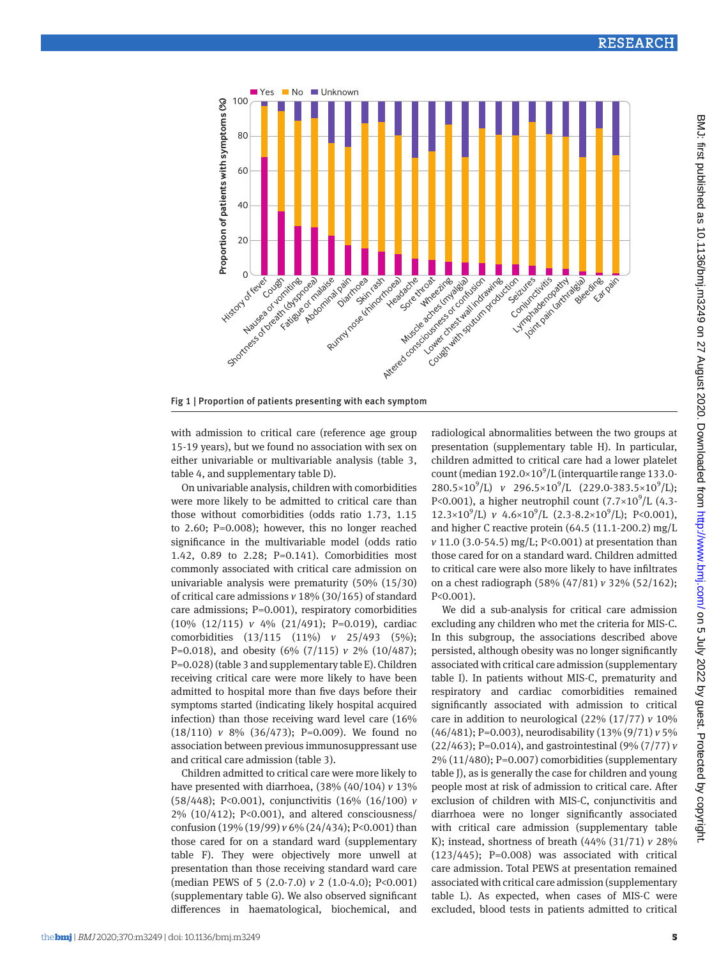

Fig 1 | Proportion of patients presenting with each symptom

with admission to critical care (reference age group 15-19 years), but we found no association with sex on either univariable or multivariable analysis (table 3, table 4, and supplementary table D).

On univariable analysis, children with comorbidities were more likely to be admitted to critical care than those without comorbidities (odds ratio 1.73, 1.15 to 2.60; P=0.008); however, this no longer reached significance in the multivariable model (odds ratio 1.42, 0.89 to 2.28; P=0.141). Comorbidities most commonly associated with critical care admission on univariable analysis were prematurity (50% (15/30) of critical care admissions *v* 18% (30/165) of standard care admissions; P=0.001), respiratory comorbidities (10% (12/115) *v* 4% (21/491); P=0.019), cardiac comorbidities (13/115 (11%) *v* 25/493 (5%); P=0.018), and obesity (6% (7/115) *v* 2% (10/487); P=0.028) (table 3 and supplementary table E). Children receiving critical care were more likely to have been admitted to hospital more than five days before their symptoms started (indicating likely hospital acquired infection) than those receiving ward level care (16% (18/110) *v* 8% (36/473); P=0.009). We found no association between previous immunosuppressant use and critical care admission (table 3).

Children admitted to critical care were more likely to have presented with diarrhoea, (38% (40/104) *v* 13% (58/448); P<0.001), conjunctivitis (16% (16/100) *v* 2% (10/412); P<0.001), and altered consciousness/ confusion (19% (19/99) *v* 6% (24/434); P<0.001) than those cared for on a standard ward (supplementary table F). They were objectively more unwell at presentation than those receiving standard ward care (median PEWS of 5 (2.0-7.0) *v* 2 (1.0-4.0); P<0.001) (supplementary table G). We also observed significant differences in haematological, biochemical, and radiological abnormalities between the two groups at presentation (supplementary table H). In particular, children admitted to critical care had a lower platelet count (median  $192.0 \times 10^9$ /L (interquartile range 133.0-280.5×10<sup>9</sup>/L) *v* 296.5×10<sup>9</sup>/L (229.0-383.5×10<sup>9</sup>/L); P<0.001), a higher neutrophil count  $(7.7\times10^9/L)$  (4.3-12.3×10<sup>9</sup>/L) *v* 4.6×10<sup>9</sup>/L (2.3-8.2×10<sup>9</sup>/L); P<0.001), and higher C reactive protein (64.5 (11.1-200.2) mg/L *v* 11.0 (3.0-54.5) mg/L; P<0.001) at presentation than those cared for on a standard ward. Children admitted to critical care were also more likely to have infiltrates on a chest radiograph (58% (47/81) *v* 32% (52/162); P<0.001).

We did a sub-analysis for critical care admission excluding any children who met the criteria for MIS-C. In this subgroup, the associations described above persisted, although obesity was no longer significantly associated with critical care admission (supplementary table I). In patients without MIS-C, prematurity and respiratory and cardiac comorbidities remained significantly associated with admission to critical care in addition to neurological (22% (17/77) *v* 10% (46/481); P=0.003), neurodisability (13% (9/71) *v* 5% (22/463); P=0.014), and gastrointestinal (9% (7/77) *v* 2% (11/480); P=0.007) comorbidities (supplementary table J), as is generally the case for children and young people most at risk of admission to critical care. After exclusion of children with MIS-C, conjunctivitis and diarrhoea were no longer significantly associated with critical care admission (supplementary table K); instead, shortness of breath (44% (31/71) *v* 28%  $(123/445)$ ; P=0.008) was associated with critical care admission. Total PEWS at presentation remained associated with critical care admission (supplementary table L). As expected, when cases of MIS-C were excluded, blood tests in patients admitted to critical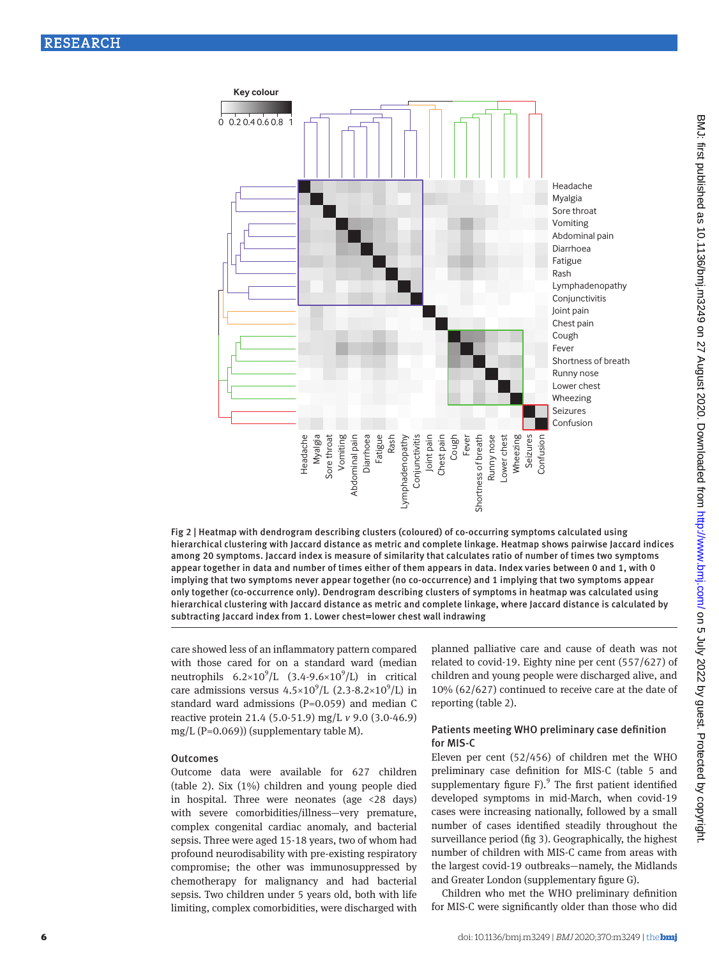

Fig 2 | Heatmap with dendrogram describing clusters (coloured) of co-occurring symptoms calculated using hierarchical clustering with Jaccard distance as metric and complete linkage. Heatmap shows pairwise Jaccard indices among 20 symptoms. Jaccard index is measure of similarity that calculates ratio of number of times two symptoms appear together in data and number of times either of them appears in data. Index varies between 0 and 1, with 0 implying that two symptoms never appear together (no co-occurrence) and 1 implying that two symptoms appear only together (co-occurrence only). Dendrogram describing clusters of symptoms in heatmap was calculated using hierarchical clustering with Jaccard distance as metric and complete linkage, where Jaccard distance is calculated by subtracting Jaccard index from 1. Lower chest=lower chest wall indrawing

care showed less of an inflammatory pattern compared with those cared for on a standard ward (median neutrophils  $6.2 \times 10^9$ /L  $(3.4 - 9.6 \times 10^9)$ /L) in critical care admissions versus  $4.5 \times 10^9$ /L (2.3-8.2×10<sup>9</sup>/L) in standard ward admissions (P=0.059) and median C reactive protein 21.4 (5.0-51.9) mg/L *v* 9.0 (3.0-46.9) mg/L (P=0.069)) (supplementary table M).

#### **Outcomes**

Outcome data were available for 627 children (table 2). Six (1%) children and young people died in hospital. Three were neonates (age <28 days) with severe comorbidities/illness—very premature, complex congenital cardiac anomaly, and bacterial sepsis. Three were aged 15-18 years, two of whom had profound neurodisability with pre-existing respiratory compromise; the other was immunosuppressed by chemotherapy for malignancy and had bacterial sepsis. Two children under 5 years old, both with life limiting, complex comorbidities, were discharged with planned palliative care and cause of death was not related to covid-19. Eighty nine per cent (557/627) of children and young people were discharged alive, and 10% (62/627) continued to receive care at the date of reporting (table 2).

## Patients meeting WHO preliminary case definition for MIS-C

Eleven per cent (52/456) of children met the WHO preliminary case definition for MIS-C (table 5 and supplementary figure  $F$ ).<sup>9</sup> The first patient identified developed symptoms in mid-March, when covid-19 cases were increasing nationally, followed by a small number of cases identified steadily throughout the surveillance period (fig 3). Geographically, the highest number of children with MIS-C came from areas with the largest covid-19 outbreaks—namely, the Midlands and Greater London (supplementary figure G).

Children who met the WHO preliminary definition for MIS-C were significantly older than those who did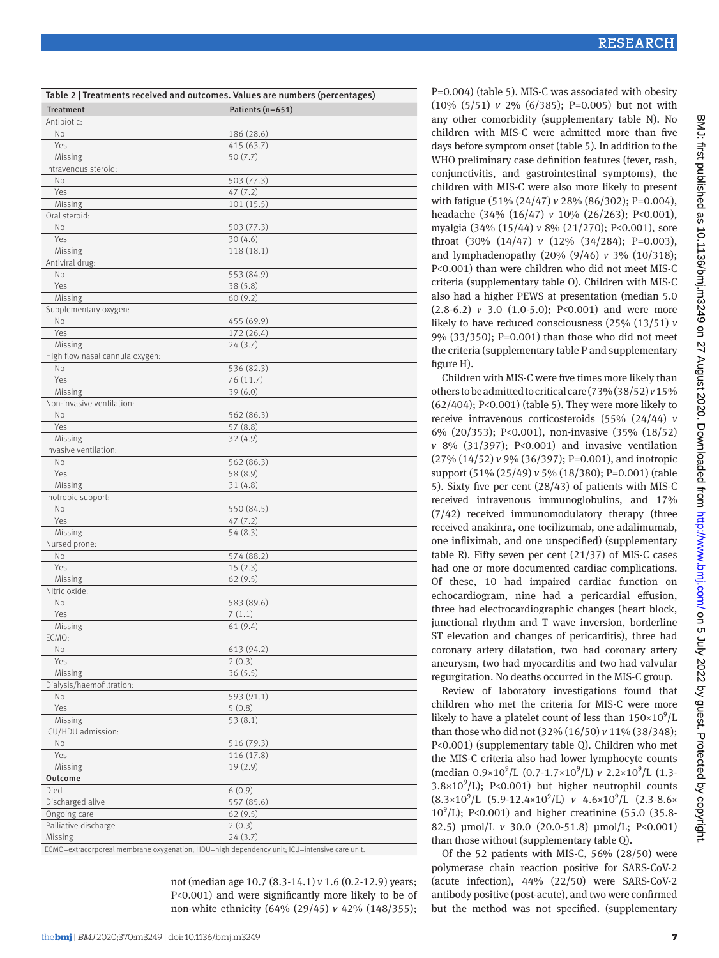| Table 2   Treatments received and outcomes. Values are numbers (percentages) |                  |  |  |  |
|------------------------------------------------------------------------------|------------------|--|--|--|
| <b>Treatment</b>                                                             | Patients (n=651) |  |  |  |
| Antibiotic:                                                                  |                  |  |  |  |
| No                                                                           | 186 (28.6)       |  |  |  |
| Yes                                                                          | 415 (63.7)       |  |  |  |
| Missing                                                                      | 50(7.7)          |  |  |  |
| Intravenous steroid:                                                         |                  |  |  |  |
| No                                                                           | 503 (77.3)       |  |  |  |
| Yes                                                                          | 47(7.2)          |  |  |  |
| Missing                                                                      | 101(15.5)        |  |  |  |
| Oral steroid:                                                                |                  |  |  |  |
| No                                                                           | 503 (77.3)       |  |  |  |
| Yes                                                                          | 30(4.6)          |  |  |  |
| Missing                                                                      | 118 (18.1)       |  |  |  |
| Antiviral drug:                                                              |                  |  |  |  |
| No                                                                           | 553 (84.9)       |  |  |  |
| Yes                                                                          | 38(5.8)          |  |  |  |
| Missing                                                                      | 60(9.2)          |  |  |  |
| Supplementary oxygen:                                                        |                  |  |  |  |
| No                                                                           | 455 (69.9)       |  |  |  |
| Yes                                                                          | 172 (26.4)       |  |  |  |
| Missing                                                                      | 24(3.7)          |  |  |  |
| High flow nasal cannula oxygen:                                              |                  |  |  |  |
| No                                                                           | 536 (82.3)       |  |  |  |
| Yes                                                                          | 76 (11.7)        |  |  |  |
| Missing                                                                      | 39(6.0)          |  |  |  |
| Non-invasive ventilation:                                                    |                  |  |  |  |
| No                                                                           | 562 (86.3)       |  |  |  |
| Yes                                                                          | 57 (8.8)         |  |  |  |
| Missing                                                                      | 32 (4.9)         |  |  |  |
| Invasive ventilation:                                                        |                  |  |  |  |
| No                                                                           | 562 (86.3)       |  |  |  |
| Yes                                                                          | 58 (8.9)         |  |  |  |
| Missing                                                                      | 31(4.8)          |  |  |  |
| Inotropic support:                                                           |                  |  |  |  |
| No                                                                           | 550 (84.5)       |  |  |  |
| Yes                                                                          | 47 (7.2)         |  |  |  |
| Missing                                                                      | 54 (8.3)         |  |  |  |
| Nursed prone:                                                                |                  |  |  |  |
| No                                                                           | 574 (88.2)       |  |  |  |
| Yes                                                                          | 15(2.3)          |  |  |  |
| Missing                                                                      | 62(9.5)          |  |  |  |
| Nitric oxide:                                                                |                  |  |  |  |
| No                                                                           | 583 (89.6)       |  |  |  |
| Yes                                                                          | 7(1.1)           |  |  |  |
| Missing                                                                      | 61(9.4)          |  |  |  |
| ECMO:                                                                        |                  |  |  |  |
| No                                                                           | 613 (94.2)       |  |  |  |
| Yes                                                                          | 2(0.3)           |  |  |  |
| Missing                                                                      | 36(5.5)          |  |  |  |
| Dialysis/haemofiltration:                                                    |                  |  |  |  |
| No                                                                           | 593 (91.1)       |  |  |  |
| Yes                                                                          | 5(0.8)           |  |  |  |
| Missing                                                                      | 53(8.1)          |  |  |  |
| ICU/HDU admission:                                                           |                  |  |  |  |
| No                                                                           | 516 (79.3)       |  |  |  |
| Yes                                                                          | 116 (17.8)       |  |  |  |
| Missing                                                                      | 19(2.9)          |  |  |  |
| Outcome                                                                      |                  |  |  |  |
| Died                                                                         | 6(0.9)           |  |  |  |
| Discharged alive                                                             | 557 (85.6)       |  |  |  |
| Ongoing care                                                                 | 62(9.5)          |  |  |  |
| Palliative discharge                                                         | 2(0.3)           |  |  |  |
| Missing                                                                      | 24(3.7)          |  |  |  |

ECMO=extracorporeal membrane oxygenation; HDU=high dependency unit; ICU=intensive care unit.

not (median age 10.7 (8.3-14.1) *v* 1.6 (0.2-12.9) years; P<0.001) and were significantly more likely to be of non-white ethnicity (64% (29/45) *v* 42% (148/355); P=0.004) (table 5). MIS-C was associated with obesity (10% (5/51) *v* 2% (6/385); P=0.005) but not with any other comorbidity (supplementary table N). No children with MIS-C were admitted more than five days before symptom onset (table 5). In addition to the WHO preliminary case definition features (fever, rash, conjunctivitis, and gastrointestinal symptoms), the children with MIS-C were also more likely to present with fatigue (51% (24/47) *v* 28% (86/302); P=0.004), headache (34% (16/47) *v* 10% (26/263); P<0.001), myalgia (34% (15/44) *v* 8% (21/270); P<0.001), sore throat (30% (14/47) *v* (12% (34/284); P=0.003), and lymphadenopathy (20% (9/46) *v* 3% (10/318); P<0.001) than were children who did not meet MIS-C criteria (supplementary table O). Children with MIS-C also had a higher PEWS at presentation (median 5.0 (2.8-6.2) *v* 3.0 (1.0-5.0); P<0.001) and were more likely to have reduced consciousness (25% (13/51) *v* 9% (33/350); P=0.001) than those who did not meet the criteria (supplementary table P and supplementary figure H).

Children with MIS-C were five times more likely than others to be admitted to critical care (73% (38/52) *v* 15% (62/404); P<0.001) (table 5). They were more likely to receive intravenous corticosteroids (55% (24/44) *v* 6% (20/353); P<0.001), non-invasive (35% (18/52) *v* 8% (31/397); P<0.001) and invasive ventilation (27% (14/52) *v* 9% (36/397); P=0.001), and inotropic support (51% (25/49) *v* 5% (18/380); P=0.001) (table 5). Sixty five per cent (28/43) of patients with MIS-C received intravenous immunoglobulins, and 17% (7/42) received immunomodulatory therapy (three received anakinra, one tocilizumab, one adalimumab, one infliximab, and one unspecified) (supplementary table R). Fifty seven per cent (21/37) of MIS-C cases had one or more documented cardiac complications. Of these, 10 had impaired cardiac function on echocardiogram, nine had a pericardial effusion, three had electrocardiographic changes (heart block, junctional rhythm and T wave inversion, borderline ST elevation and changes of pericarditis), three had coronary artery dilatation, two had coronary artery aneurysm, two had myocarditis and two had valvular regurgitation. No deaths occurred in the MIS-C group.

Review of laboratory investigations found that children who met the criteria for MIS-C were more likely to have a platelet count of less than  $150\times10^9$ /L than those who did not (32% (16/50) *v* 11% (38/348); P<0.001) (supplementary table Q). Children who met the MIS-C criteria also had lower lymphocyte counts (median  $0.9\times10^{9}/L$  (0.7-1.7×10<sup>9</sup>/L) *v* 2.2×10<sup>9</sup>/L (1.3-3.8×10 $^9$ /L); P<0.001) but higher neutrophil counts  $(8.3\times10^{9}/L)(5.9-12.4\times10^{9}/L)$  *v*  $4.6\times10^{9}/L$   $(2.3-8.6\times10^{9}/L)$ 10<sup>9</sup>/L); P<0.001) and higher creatinine (55.0 (35.8-82.5) μmol/L *v* 30.0 (20.0-51.8) μmol/L; P<0.001) than those without (supplementary table Q).

Of the 52 patients with MIS-C, 56% (28/50) were polymerase chain reaction positive for SARS-CoV-2 (acute infection), 44% (22/50) were SARS-CoV-2 antibody positive (post-acute), and two were confirmed but the method was not specified. (supplementary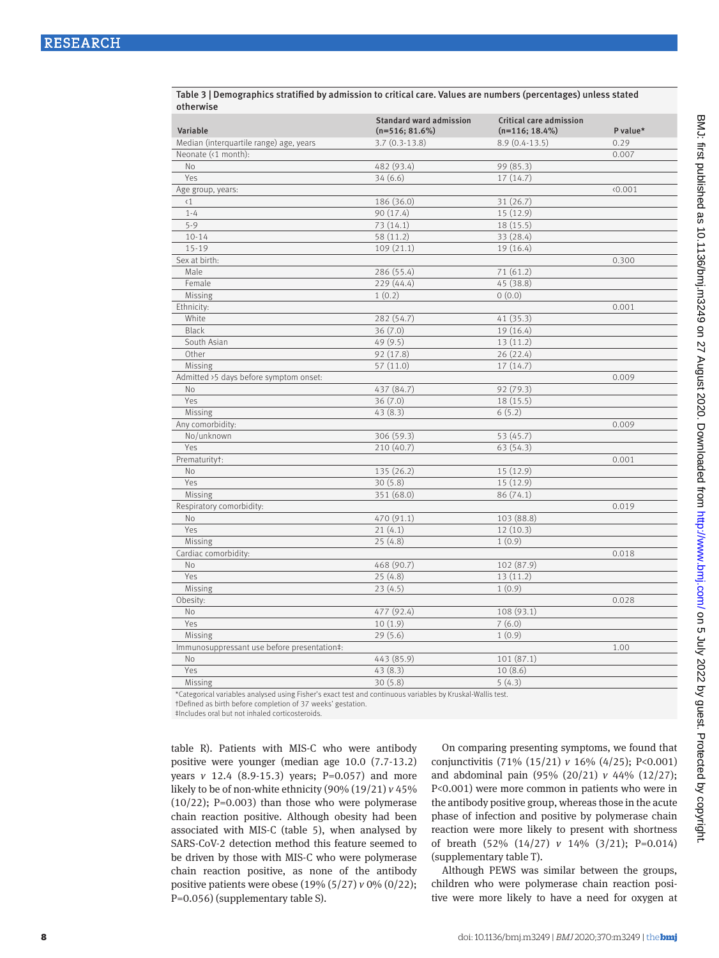| Variable                                    | <b>Standard ward admission</b><br>$(n=516; 81.6%)$ | Critical care admission<br>$(n=116; 18.4\%)$ | P value* |
|---------------------------------------------|----------------------------------------------------|----------------------------------------------|----------|
| Median (interquartile range) age, years     | $3.7(0.3-13.8)$                                    | $8.9(0.4-13.5)$                              | 0.29     |
| Neonate (<1 month):                         |                                                    |                                              | 0.007    |
| <b>No</b>                                   | 482 (93.4)                                         | 99 (85.3)                                    |          |
| Yes                                         | 34(6.6)                                            | 17(14.7)                                     |          |
| Age group, years:                           |                                                    |                                              | 0.001    |
| $\langle 1$                                 | 186 (36.0)                                         | 31(26.7)                                     |          |
| $1 - 4$                                     | 90 (17.4)                                          | 15 (12.9)                                    |          |
| $5 - 9$                                     | 73(14.1)                                           | 18 (15.5)                                    |          |
| $10 - 14$                                   | 58 (11.2)                                          | 33 (28.4)                                    |          |
| $15 - 19$                                   | 109(21.1)                                          | 19(16.4)                                     |          |
| Sex at birth:                               |                                                    |                                              | 0.300    |
| Male                                        | 286 (55.4)                                         | 71(61.2)                                     |          |
| Female                                      | 229 (44.4)                                         | 45 (38.8)                                    |          |
| Missing                                     | 1(0.2)                                             | 0(0.0)                                       |          |
| Ethnicity:                                  |                                                    |                                              | 0.001    |
| White                                       | 282 (54.7)                                         | 41 (35.3)                                    |          |
| Black                                       | 36(7.0)                                            | 19 (16.4)                                    |          |
| South Asian                                 | 49(9.5)                                            | 13(11.2)                                     |          |
| Other                                       | 92 (17.8)                                          | 26(22.4)                                     |          |
| Missing                                     | 57(11.0)                                           | 17(14.7)                                     |          |
| Admitted >5 days before symptom onset:      |                                                    |                                              | 0.009    |
| <b>No</b>                                   | 437 (84.7)                                         | 92 (79.3)                                    |          |
| Yes                                         | 36(7.0)                                            | 18(15.5)                                     |          |
| Missing                                     | 43(8.3)                                            | 6(5.2)                                       |          |
| Any comorbidity:                            |                                                    |                                              | 0.009    |
| No/unknown                                  | 306 (59.3)                                         | 53 (45.7)                                    |          |
| Yes                                         | 210 (40.7)                                         | 63 (54.3)                                    |          |
| Prematurityt:                               |                                                    |                                              | 0.001    |
| No                                          | 135 (26.2)                                         | 15 (12.9)                                    |          |
| Yes                                         | 30(5.8)                                            | 15 (12.9)                                    |          |
| Missing                                     | 351 (68.0)                                         | 86(74.1)                                     |          |
| Respiratory comorbidity:                    |                                                    |                                              | 0.019    |
| <b>No</b>                                   | 470 (91.1)                                         | 103 (88.8)                                   |          |
| Yes                                         | 21(4.1)                                            | 12(10.3)                                     |          |
| Missing                                     | 25(4.8)                                            | 1(0.9)                                       |          |
| Cardiac comorbidity:                        |                                                    |                                              | 0.018    |
| <b>No</b>                                   | 468 (90.7)                                         | 102 (87.9)                                   |          |
| Yes                                         | 25(4.8)                                            | 13(11.2)                                     |          |
| Missing                                     | 23(4.5)                                            | 1(0.9)                                       |          |
| Obesity:                                    |                                                    |                                              | 0.028    |
| No                                          | 477 (92.4)                                         | 108 (93.1)                                   |          |
| Yes                                         | 10(1.9)                                            | 7(6.0)                                       |          |
| Missing                                     | 29(5.6)                                            | 1(0.9)                                       |          |
| Immunosuppressant use before presentation#: |                                                    |                                              | 1.00     |
| No                                          | 443 (85.9)                                         | 101(87.1)                                    |          |
| Yes                                         | 43(8.3)                                            | 10(8.6)                                      |          |
| Missing                                     | 30(5.8)                                            | 5(4.3)                                       |          |

#### Table 3 | Demographics stratified by admission to critical care. Values are numbers (percentages) unless stated otherwise

\*Categorical variables analysed using Fisher's exact test and continuous variables by Kruskal-Wallis test.

†Defined as birth before completion of 37 weeks' gestation.

‡Includes oral but not inhaled corticosteroids.

table R). Patients with MIS-C who were antibody positive were younger (median age 10.0 (7.7-13.2) years *v* 12.4 (8.9-15.3) years; P=0.057) and more likely to be of non-white ethnicity (90% (19/21) *v* 45%  $(10/22)$ ; P=0.003) than those who were polymerase chain reaction positive. Although obesity had been associated with MIS-C (table 5), when analysed by SARS-CoV-2 detection method this feature seemed to be driven by those with MIS-C who were polymerase chain reaction positive, as none of the antibody positive patients were obese (19% (5/27) *v* 0% (0/22); P=0.056) (supplementary table S).

On comparing presenting symptoms, we found that conjunctivitis (71% (15/21) *v* 16% (4/25); P<0.001) and abdominal pain (95% (20/21) *v* 44% (12/27); P<0.001) were more common in patients who were in the antibody positive group, whereas those in the acute phase of infection and positive by polymerase chain reaction were more likely to present with shortness of breath (52% (14/27) *v* 14% (3/21); P=0.014) (supplementary table T).

Although PEWS was similar between the groups, children who were polymerase chain reaction positive were more likely to have a need for oxygen at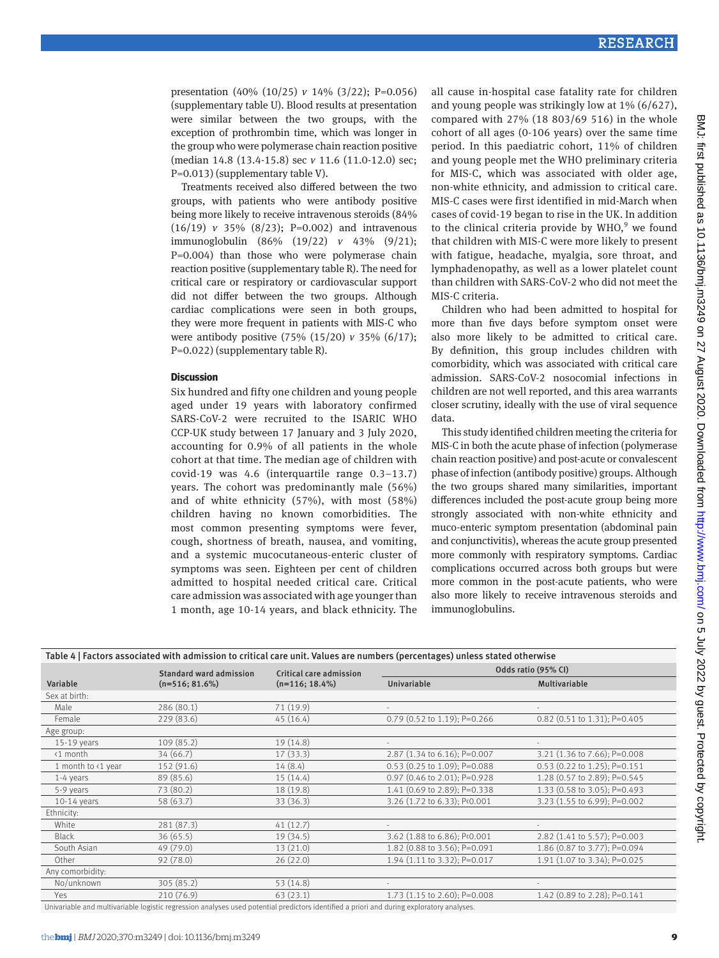presentation (40% (10/25) *v* 14% (3/22); P=0.056) (supplementary table U). Blood results at presentation were similar between the two groups, with the exception of prothrombin time, which was longer in the group who were polymerase chain reaction positive (median 14.8 (13.4-15.8) sec *v* 11.6 (11.0-12.0) sec; P=0.013) (supplementary table V).

Treatments received also differed between the two groups, with patients who were antibody positive being more likely to receive intravenous steroids (84% (16/19) *v* 35% (8/23); P=0.002) and intravenous immunoglobulin (86% (19/22) *v* 43% (9/21); P=0.004) than those who were polymerase chain reaction positive (supplementary table R). The need for critical care or respiratory or cardiovascular support did not differ between the two groups. Although cardiac complications were seen in both groups, they were more frequent in patients with MIS-C who were antibody positive (75% (15/20) *v* 35% (6/17); P=0.022) (supplementary table R).

#### **Discussion**

Six hundred and fifty one children and young people aged under 19 years with laboratory confirmed SARS-CoV-2 were recruited to the ISARIC WHO CCP-UK study between 17 January and 3 July 2020, accounting for 0.9% of all patients in the whole cohort at that time. The median age of children with covid-19 was 4.6 (interquartile range 0.3–13.7) years. The cohort was predominantly male (56%) and of white ethnicity (57%), with most (58%) children having no known comorbidities. The most common presenting symptoms were fever, cough, shortness of breath, nausea, and vomiting, and a systemic mucocutaneous-enteric cluster of symptoms was seen. Eighteen per cent of children admitted to hospital needed critical care. Critical care admission was associated with age younger than 1 month, age 10-14 years, and black ethnicity. The all cause in-hospital case fatality rate for children and young people was strikingly low at 1% (6/627), compared with 27% (18 803/69 516) in the whole cohort of all ages (0-106 years) over the same time period. In this paediatric cohort, 11% of children and young people met the WHO preliminary criteria for MIS-C, which was associated with older age, non-white ethnicity, and admission to critical care. MIS-C cases were first identified in mid-March when cases of covid-19 began to rise in the UK. In addition to the clinical criteria provide by  $WHO<sup>9</sup>$  we found that children with MIS-C were more likely to present with fatigue, headache, myalgia, sore throat, and lymphadenopathy, as well as a lower platelet count than children with SARS-CoV-2 who did not meet the MIS-C criteria.

Children who had been admitted to hospital for more than five days before symptom onset were also more likely to be admitted to critical care. By definition, this group includes children with comorbidity, which was associated with critical care admission. SARS-CoV-2 nosocomial infections in children are not well reported, and this area warrants closer scrutiny, ideally with the use of viral sequence data.

This study identified children meeting the criteria for MIS-C in both the acute phase of infection (polymerase chain reaction positive) and post-acute or convalescent phase of infection (antibody positive) groups. Although the two groups shared many similarities, important differences included the post-acute group being more strongly associated with non-white ethnicity and muco-enteric symptom presentation (abdominal pain and conjunctivitis), whereas the acute group presented more commonly with respiratory symptoms. Cardiac complications occurred across both groups but were more common in the post-acute patients, who were also more likely to receive intravenous steroids and immunoglobulins.

|                    | ble 4   Factors associated with admission to critical care unit. Values are numbers (percentages) unless stated otherwise |                                              |                              |                              |  |
|--------------------|---------------------------------------------------------------------------------------------------------------------------|----------------------------------------------|------------------------------|------------------------------|--|
| ıriable            | Standard ward admission                                                                                                   | Critical care admission<br>$(n=116; 18.4\%)$ | Odds ratio (95% CI)          |                              |  |
|                    | $(n=516; 81.6%)$                                                                                                          |                                              | <b>Univariable</b>           | <b>Multivariable</b>         |  |
| x at birth:        |                                                                                                                           |                                              |                              |                              |  |
| Male               | 286 (80.1)                                                                                                                | 71 (19.9)                                    |                              |                              |  |
| Female             | 229(83.6)                                                                                                                 | 45(16.4)                                     | 0.79 (0.52 to 1.19); P=0.266 | 0.82 (0.51 to 1.31); P=0.405 |  |
| e group:           |                                                                                                                           |                                              |                              |                              |  |
| 15-19 years        | 109 (85.2)                                                                                                                | 19(14.8)                                     | $\sim$                       |                              |  |
| <1 month           | 34 (66.7)                                                                                                                 | 17(33.3)                                     | 2.87 (1.34 to 6.16); P=0.007 | 3.21 (1.36 to 7.66); P=0.008 |  |
| 1 month to <1 year | 152 (91.6)                                                                                                                | 14(8.4)                                      | 0.53 (0.25 to 1.09); P=0.088 | 0.53 (0.22 to 1.25); P=0.151 |  |
| 1-4 years          | 89 (85.6)                                                                                                                 | 15(14.4)                                     | 0.97 (0.46 to 2.01); P=0.928 | 1.28 (0.57 to 2.89); P=0.545 |  |
| 5-9 years          | 73 (80.2)                                                                                                                 | 18 (19.8)                                    | 1.41 (0.69 to 2.89); P=0.338 | 1.33 (0.58 to 3.05); P=0.493 |  |
| 10-14 years        | 58 (63.7)                                                                                                                 | 33(36.3)                                     | 3.26 (1.72 to 6.33); P<0.001 | 3.23 (1.55 to 6.99); P=0.002 |  |
| nnicity:           |                                                                                                                           |                                              |                              |                              |  |
| White              | 281 (87.3)                                                                                                                | 41(12.7)                                     |                              |                              |  |
| <b>Black</b>       | 36(65.5)                                                                                                                  | 19(34.5)                                     | 3.62 (1.88 to 6.86); P<0.001 | 2.82 (1.41 to 5.57); P=0.003 |  |
| South Asian        | 49 (79.0)                                                                                                                 | 13(21.0)                                     | 1.82 (0.88 to 3.56); P=0.091 | 1.86 (0.87 to 3.77); P=0.094 |  |
| Other              | 92(78.0)                                                                                                                  | 26(22.0)                                     | 1.94 (1.11 to 3.32); P=0.017 | 1.91 (1.07 to 3.34); P=0.025 |  |
| y comorbidity:     |                                                                                                                           |                                              |                              |                              |  |
| No/unknown         | 305(85.2)                                                                                                                 | 53 (14.8)                                    |                              |                              |  |
| Yes                | 210(76.9)                                                                                                                 | 63(23.1)                                     | 1.73 (1.15 to 2.60); P=0.008 | 1.42 (0.89 to 2.28); P=0.141 |  |

Table 4 | Factors associated

Variable

Sex at birth:

Age group:

Ethnicity:

Any comorbidity:

Univariable and multivariable logisti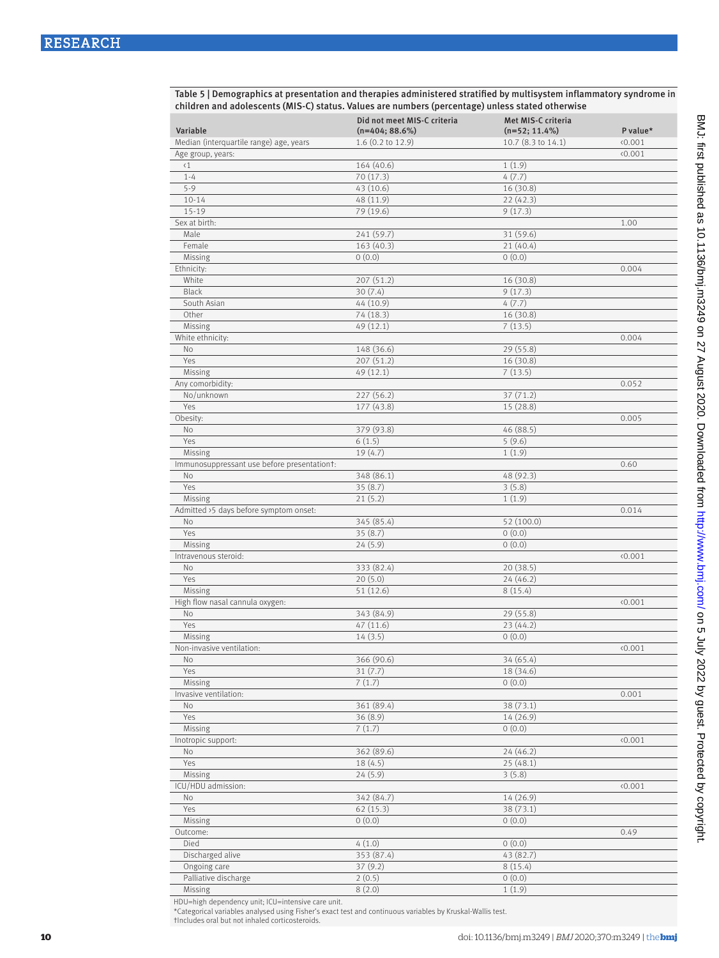Table 5 | Demographics at presentation and therapies administered stratified by multisystem inflammatory syndrome in children and adolescents (MIS-C) status. Values are numbers (percentage) unless stated otherwise

| Variable                                    | Did not meet MIS-C criteria<br>$(n=404; 88.6%)$ | Met MIS-C criteria<br>$(n=52; 11.4\%)$ | P value* |
|---------------------------------------------|-------------------------------------------------|----------------------------------------|----------|
| Median (interquartile range) age, years     | $1.6$ (0.2 to 12.9)                             | 10.7 (8.3 to 14.1)                     | (0.001)  |
| Age group, years:                           |                                                 |                                        | (0.001)  |
| $\langle 1$                                 | 164 (40.6)                                      | 1(1.9)                                 |          |
| $1 - 4$                                     | 70 (17.3)                                       | 4(7.7)                                 |          |
| $5 - 9$                                     | 43 (10.6)                                       | 16 (30.8)                              |          |
| $10 - 14$                                   | 48 (11.9)                                       | 22(42.3)                               |          |
| $15 - 19$                                   | 79 (19.6)                                       | 9(17.3)                                |          |
| Sex at birth:                               |                                                 |                                        | 1.00     |
| Male                                        | 241 (59.7)                                      | 31(59.6)                               |          |
| Female                                      | 163 (40.3)                                      | 21(40.4)                               |          |
| Missing                                     | 0(0.0)                                          | 0(0.0)                                 |          |
| Ethnicity:                                  |                                                 |                                        | 0.004    |
| White                                       | 207 (51.2)                                      | 16 (30.8)                              |          |
| <b>Black</b>                                | 30(7.4)                                         | 9(17.3)                                |          |
| South Asian                                 | 44 (10.9)                                       | 4(7.7)                                 |          |
| Other                                       | 74 (18.3)                                       | 16 (30.8)                              |          |
| Missing<br>White ethnicity:                 | 49(12.1)                                        | 7(13.5)                                | 0.004    |
| No                                          | 148 (36.6)                                      | 29(55.8)                               |          |
| Yes                                         | 207(51.2)                                       | 16(30.8)                               |          |
| Missing                                     | 49(12.1)                                        | 7(13.5)                                |          |
| Any comorbidity:                            |                                                 |                                        | 0.052    |
| No/unknown                                  | 227 (56.2)                                      | 37(71.2)                               |          |
| Yes                                         | 177 (43.8)                                      | 15(28.8)                               |          |
| Obesity:                                    |                                                 |                                        | 0.005    |
| No                                          | 379 (93.8)                                      | 46 (88.5)                              |          |
| Yes                                         | 6(1.5)                                          | 5(9.6)                                 |          |
| Missing                                     | 19(4.7)                                         | 1(1.9)                                 |          |
| Immunosuppressant use before presentationt: |                                                 |                                        | 0.60     |
| No                                          | 348 (86.1)                                      | 48 (92.3)                              |          |
| Yes                                         | 35(8.7)                                         | 3(5.8)                                 |          |
| Missing                                     | 21(5.2)                                         | 1(1.9)                                 |          |
| Admitted >5 days before symptom onset:      |                                                 |                                        | 0.014    |
| No                                          | 345 (85.4)                                      | 52 (100.0)                             |          |
| Yes                                         | 35(8.7)                                         | 0(0.0)                                 |          |
| Missing                                     | 24(5.9)                                         | 0(0.0)                                 |          |
| Intravenous steroid:                        |                                                 |                                        | (0.001)  |
| No<br>Yes                                   | 333 (82.4)                                      | 20(38.5)                               |          |
| Missing                                     | 20(5.0)<br>51(12.6)                             | 24(46.2)<br>8(15.4)                    |          |
| High flow nasal cannula oxygen:             |                                                 |                                        | (0.001)  |
| No                                          | 343 (84.9)                                      | 29(55.8)                               |          |
| Yes                                         | 47(11.6)                                        | 23(44.2)                               |          |
| Missing                                     | 14(3.5)                                         | 0(0.0)                                 |          |
| Non-invasive ventilation:                   |                                                 |                                        | (0.001)  |
| No.                                         | 366 (90.6)                                      | 34(65.4)                               |          |
| Yes                                         | 31(7.7)                                         | 18 (34.6)                              |          |
| Missing                                     | 7(1.7)                                          | 0(0.0)                                 |          |
| Invasive ventilation:                       |                                                 |                                        | 0.001    |
| No                                          | 361 (89.4)                                      | 38(73.1)                               |          |
| Yes                                         | 36(8.9)                                         | 14 (26.9)                              |          |
| Missing                                     | 7(1.7)                                          | 0(0.0)                                 |          |
| Inotropic support:                          |                                                 |                                        | (0.001)  |
| No                                          | 362 (89.6)                                      | 24(46.2)                               |          |
| Yes                                         | 18(4.5)                                         | 25(48.1)                               |          |
| Missing                                     | 24(5.9)                                         | 3(5.8)                                 |          |
| ICU/HDU admission:                          |                                                 |                                        | (0.001)  |
| No<br>Yes                                   | 342 (84.7)<br>62(15.3)                          | 14 (26.9)<br>38 (73.1)                 |          |
| Missing                                     | 0(0.0)                                          | 0(0.0)                                 |          |
| Outcome:                                    |                                                 |                                        | 0.49     |
| Died                                        | 4(1.0)                                          | 0(0.0)                                 |          |
| Discharged alive                            | 353 (87.4)                                      | 43 (82.7)                              |          |
| Ongoing care                                | 37(9.2)                                         | 8(15.4)                                |          |
| Palliative discharge                        | 2(0.5)                                          | 0(0.0)                                 |          |
| Missing                                     | 8(2.0)                                          | 1(1.9)                                 |          |

HDU=high dependency unit; ICU=intensive care unit. \*Categorical variables analysed using Fisher's exact test and continuous variables by Kruskal-Wallis test. †Includes oral but not inhaled corticosteroids.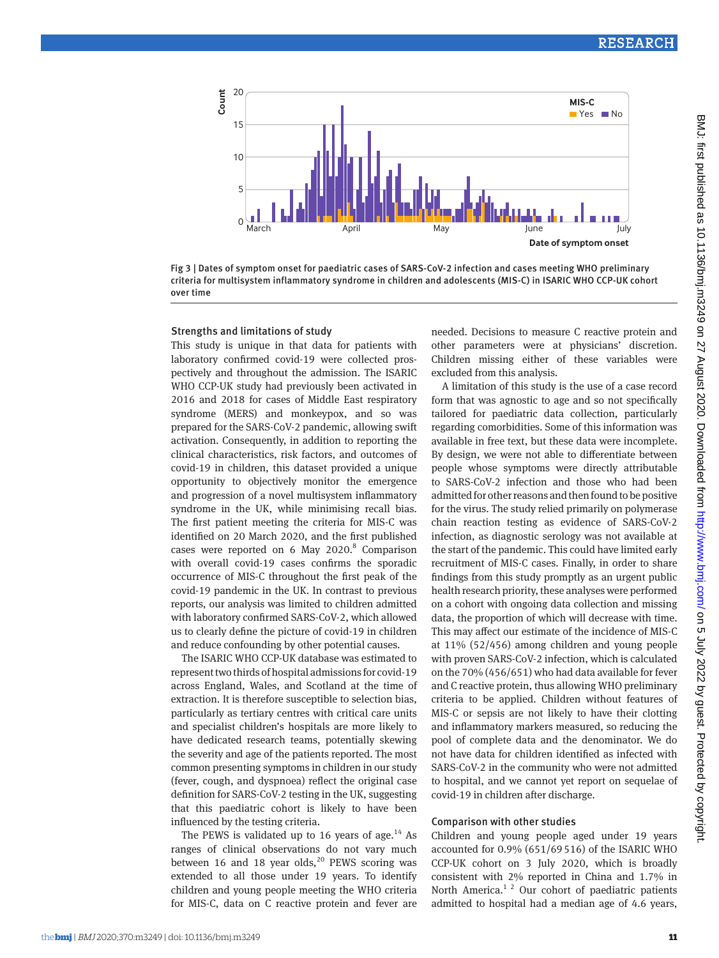

Fig 3 | Dates of symptom onset for paediatric cases of SARS -CoV-2 infection and cases meeting WHO preliminary criteria for multisystem inflammatory syndrome in children and adolescents (MIS-C) in ISARIC WHO CCP-UK cohort over time

#### Strengths and limitations of study

This study is unique in that data for patients with laboratory confirmed covid-19 were collected prospectively and throughout the admission. The ISARIC WHO CCP-UK study had previously been activated in 2016 and 2018 for cases of Middle East respiratory syndrome (MERS) and monkeypox, and so was prepared for the SARS-CoV-2 pandemic, allowing swift activation. Consequently, in addition to reporting the clinical characteristics, risk factors, and outcomes of covid-19 in children, this dataset provided a unique opportunity to objectively monitor the emergence and progression of a novel multisystem inflammatory syndrome in the UK, while minimising recall bias. The first patient meeting the criteria for MIS-C was identified on 20 March 2020, and the first published cases were reported on  $6$  May  $2020.^8$  Comparison with overall covid-19 cases confirms the sporadic occurrence of MIS-C throughout the first peak of the covid-19 pandemic in the UK. In contrast to previous reports, our analysis was limited to children admitted with laboratory confirmed SARS-CoV-2, which allowed us to clearly define the picture of covid-19 in children and reduce confounding by other potential causes.

The ISARIC WHO CCP-UK database was estimated to represent two thirds of hospital admissions for covid-19 across England, Wales, and Scotland at the time of extraction. It is therefore susceptible to selection bias, particularly as tertiary centres with critical care units and specialist children's hospitals are more likely to have dedicated research teams, potentially skewing the severity and age of the patients reported. The most common presenting symptoms in children in our study (fever, cough, and dyspnoea) reflect the original case definition for SARS-CoV-2 testing in the UK, suggesting that this paediatric cohort is likely to have been influenced by the testing criteria.

The PEWS is validated up to 16 years of age. $^{14}$  As ranges of clinical observations do not vary much between 16 and 18 year olds,<sup>20</sup> PEWS scoring was extended to all those under 19 years. To identify children and young people meeting the WHO criteria for MIS-C, data on C reactive protein and fever are needed. Decisions to measure C reactive protein and other parameters were at physicians' discretion. Children missing either of these variables were excluded from this analysis.

A limitation of this study is the use of a case record form that was agnostic to age and so not specifically tailored for paediatric data collection, particularly regarding comorbidities. Some of this information was available in free text, but these data were incomplete. By design, we were not able to differentiate between people whose symptoms were directly attributable to SARS-CoV-2 infection and those who had been admitted for other reasons and then found to be positive for the virus. The study relied primarily on polymerase chain reaction testing as evidence of SARS-CoV-2 infection, as diagnostic serology was not available at the start of the pandemic. This could have limited early recruitment of MIS-C cases. Finally, in order to share findings from this study promptly as an urgent public health research priority, these analyses were performed on a cohort with ongoing data collection and missing data, the proportion of which will decrease with time. This may affect our estimate of the incidence of MIS-C at 11% (52/456) among children and young people with proven SARS-CoV-2 infection, which is calculated on the 70% (456/651) who had data available for fever and C reactive protein, thus allowing WHO preliminary criteria to be applied. Children without features of MIS-C or sepsis are not likely to have their clotting and inflammatory markers measured, so reducing the pool of complete data and the denominator. We do not have data for children identified as infected with SARS-CoV-2 in the community who were not admitted to hospital, and we cannot yet report on sequelae of covid-19 in children after discharge.

#### Comparison with other studies

Children and young people aged under 19 years accounted for 0.9% (651/69516) of the ISARIC WHO CCP-UK cohort on 3 July 2020, which is broadly consistent with 2% reported in China and 1.7% in North America.<sup>1 2</sup> Our cohort of paediatric patients admitted to hospital had a median age of 4.6 years,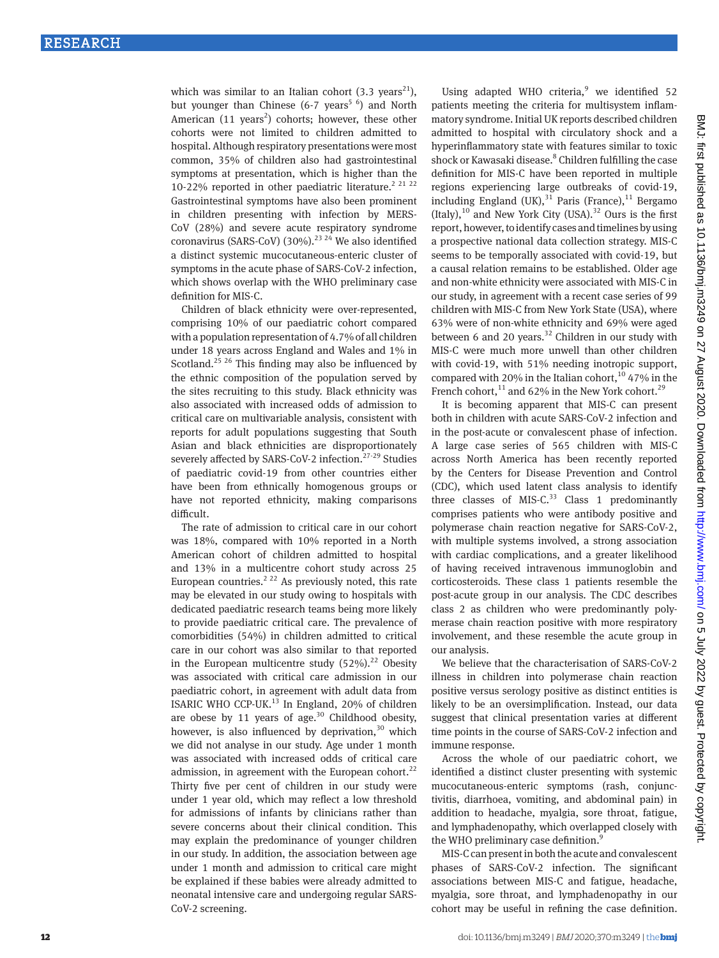which was similar to an Italian cohort  $(3.3 \text{ years}^{21})$ , but younger than Chinese  $(6-7 \text{ years}^5)$  and North American  $(11 \text{ years}^2)$  cohorts; however, these other cohorts were not limited to children admitted to hospital. Although respiratory presentations were most common, 35% of children also had gastrointestinal symptoms at presentation, which is higher than the 10-22% reported in other paediatric literature.<sup>2 21 22</sup> Gastrointestinal symptoms have also been prominent in children presenting with infection by MERS-CoV (28%) and severe acute respiratory syndrome coronavirus (SARS-CoV) (30%).<sup>23 24</sup> We also identified a distinct systemic mucocutaneous-enteric cluster of symptoms in the acute phase of SARS-CoV-2 infection, which shows overlap with the WHO preliminary case definition for MIS-C.

Children of black ethnicity were over-represented, comprising 10% of our paediatric cohort compared with a population representation of 4.7% of all children under 18 years across England and Wales and 1% in Scotland.<sup>25 26</sup> This finding may also be influenced by the ethnic composition of the population served by the sites recruiting to this study. Black ethnicity was also associated with increased odds of admission to critical care on multivariable analysis, consistent with reports for adult populations suggesting that South Asian and black ethnicities are disproportionately severely affected by SARS-CoV-2 infection.<sup>27-29</sup> Studies of paediatric covid-19 from other countries either have been from ethnically homogenous groups or have not reported ethnicity, making comparisons difficult.

The rate of admission to critical care in our cohort was 18%, compared with 10% reported in a North American cohort of children admitted to hospital and 13% in a multicentre cohort study across 25 European countries.<sup>2 22</sup> As previously noted, this rate may be elevated in our study owing to hospitals with dedicated paediatric research teams being more likely to provide paediatric critical care. The prevalence of comorbidities (54%) in children admitted to critical care in our cohort was also similar to that reported in the European multicentre study  $(52\%)$ <sup>22</sup> Obesity was associated with critical care admission in our paediatric cohort, in agreement with adult data from ISARIC WHO CCP-UK.<sup>13</sup> In England, 20% of children are obese by 11 years of age. $30$  Childhood obesity, however, is also influenced by deprivation, $30$  which we did not analyse in our study. Age under 1 month was associated with increased odds of critical care admission, in agreement with the European cohort. $^{22}$ Thirty five per cent of children in our study were under 1 year old, which may reflect a low threshold for admissions of infants by clinicians rather than severe concerns about their clinical condition. This may explain the predominance of younger children in our study. In addition, the association between age under 1 month and admission to critical care might be explained if these babies were already admitted to neonatal intensive care and undergoing regular SARS-CoV-2 screening.

Using adapted WHO criteria,<sup>9</sup> we identified 52 patients meeting the criteria for multisystem inflammatory syndrome. Initial UK reports described children admitted to hospital with circulatory shock and a hyperinflammatory state with features similar to toxic shock or Kawasaki disease.<sup>8</sup> Children fulfilling the case definition for MIS-C have been reported in multiple regions experiencing large outbreaks of covid-19, including England  $(UK)$ ,<sup>31</sup> Paris (France),<sup>11</sup> Bergamo (Italy),<sup>10</sup> and New York City (USA).<sup>32</sup> Ours is the first report, however, to identify cases and timelines by using a prospective national data collection strategy. MIS-C seems to be temporally associated with covid-19, but a causal relation remains to be established. Older age and non-white ethnicity were associated with MIS-C in our study, in agreement with a recent case series of 99 children with MIS-C from New York State (USA), where 63% were of non-white ethnicity and 69% were aged between 6 and 20 years. $32$  Children in our study with MIS-C were much more unwell than other children with covid-19, with 51% needing inotropic support, compared with 20% in the Italian cohort,  $10\,47\%$  in the French cohort,  $^{11}$  and 62% in the New York cohort.<sup>29</sup>

It is becoming apparent that MIS-C can present both in children with acute SARS-CoV-2 infection and in the post-acute or convalescent phase of infection. A large case series of 565 children with MIS-C across North America has been recently reported by the Centers for Disease Prevention and Control (CDC), which used latent class analysis to identify three classes of MIS-C. $33$  Class 1 predominantly comprises patients who were antibody positive and polymerase chain reaction negative for SARS-CoV-2, with multiple systems involved, a strong association with cardiac complications, and a greater likelihood of having received intravenous immunoglobin and corticosteroids. These class 1 patients resemble the post-acute group in our analysis. The CDC describes class 2 as children who were predominantly polymerase chain reaction positive with more respiratory involvement, and these resemble the acute group in our analysis.

We believe that the characterisation of SARS-CoV-2 illness in children into polymerase chain reaction positive versus serology positive as distinct entities is likely to be an oversimplification. Instead, our data suggest that clinical presentation varies at different time points in the course of SARS-CoV-2 infection and immune response.

Across the whole of our paediatric cohort, we identified a distinct cluster presenting with systemic mucocutaneous-enteric symptoms (rash, conjunctivitis, diarrhoea, vomiting, and abdominal pain) in addition to headache, myalgia, sore throat, fatigue, and lymphadenopathy, which overlapped closely with the WHO preliminary case definition.<sup>9</sup>

MIS-C can present in both the acute and convalescent phases of SARS-CoV-2 infection. The significant associations between MIS-C and fatigue, headache, myalgia, sore throat, and lymphadenopathy in our cohort may be useful in refining the case definition.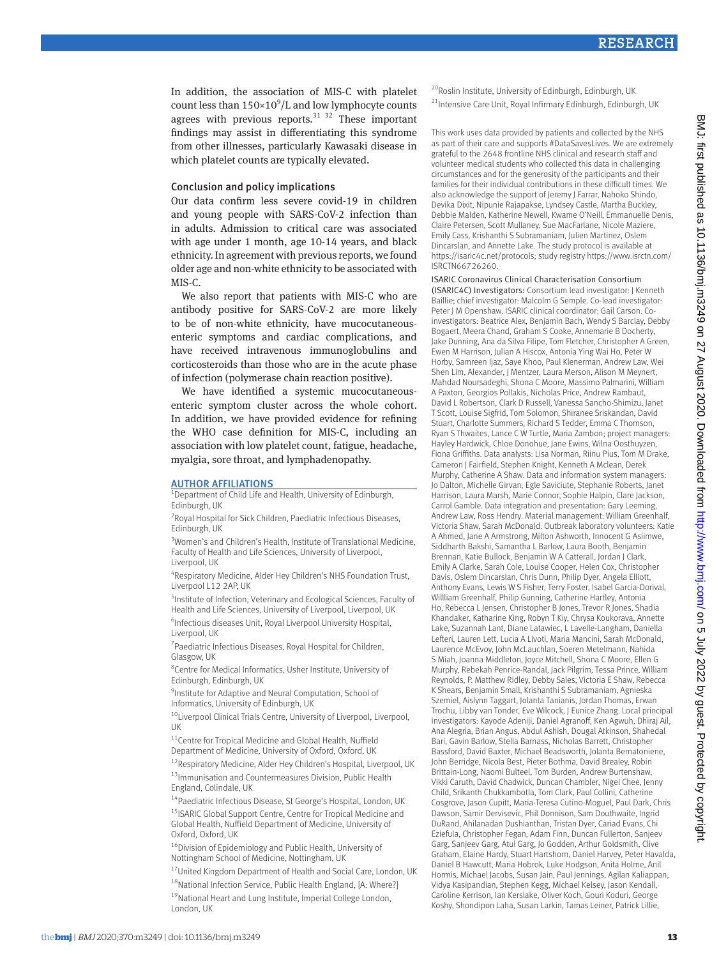In addition, the association of MIS-C with platelet count less than  $150\times10^9$ /L and low lymphocyte counts agrees with previous reports. $3132$  These important findings may assist in differentiating this syndrome from other illnesses, particularly Kawasaki disease in which platelet counts are typically elevated.

#### Conclusion and policy implications

Our data confirm less severe covid-19 in children and young people with SARS-CoV-2 infection than in adults. Admission to critical care was associated with age under 1 month, age 10-14 years, and black ethnicity. In agreement with previous reports, we found older age and non-white ethnicity to be associated with MIS-C.

We also report that patients with MIS-C who are antibody positive for SARS-CoV-2 are more likely to be of non-white ethnicity, have mucocutaneousenteric symptoms and cardiac complications, and have received intravenous immunoglobulins and corticosteroids than those who are in the acute phase of infection (polymerase chain reaction positive).

We have identified a systemic mucocutaneousenteric symptom cluster across the whole cohort. In addition, we have provided evidence for refining the WHO case definition for MIS-C, including an association with low platelet count, fatigue, headache, myalgia, sore throat, and lymphadenopathy.

#### **AUTHOR AFFILIATIONS**

<sup>1</sup>Department of Child Life and Health, University of Edinburgh, Edinburgh, UK

<sup>2</sup> Royal Hospital for Sick Children, Paediatric Infectious Diseases, Edinburgh, UK

<sup>3</sup>Women's and Children's Health, Institute of Translational Medicine, Faculty of Health and Life Sciences, University of Liverpool, Liverpool, UK

4 Respiratory Medicine, Alder Hey Children's NHS Foundation Trust, Liverpool L12 2AP, UK

5 Institute of Infection, Veterinary and Ecological Sciences, Faculty of Health and Life Sciences, University of Liverpool, Liverpool, UK

6 Infectious diseases Unit, Royal Liverpool University Hospital, Liverpool, UK

<sup>7</sup> Paediatric Infectious Diseases, Royal Hospital for Children, Glasgow, UK

8 Centre for Medical Informatics, Usher Institute, University of Edinburgh, Edinburgh, UK

<sup>9</sup>Institute for Adaptive and Neural Computation, School of Informatics, University of Edinburgh, UK

<sup>10</sup>Liverpool Clinical Trials Centre, University of Liverpool, Liverpool, UK

11Centre for Tropical Medicine and Global Health, Nuffield Department of Medicine, University of Oxford, Oxford, UK

<sup>12</sup>Respiratory Medicine, Alder Hey Children's Hospital, Liverpool, UK 13Immunisation and Countermeasures Division, Public Health England, Colindale, UK

<sup>14</sup> Paediatric Infectious Disease, St George's Hospital, London, UK

<sup>15</sup> ISARIC Global Support Centre, Centre for Tropical Medicine and Global Health, Nuffield Department of Medicine, University of Oxford, Oxford, UK

<sup>16</sup>Division of Epidemiology and Public Health, University of Nottingham School of Medicine, Nottingham, UK

<sup>17</sup> United Kingdom Department of Health and Social Care, London, UK <sup>18</sup>National Infection Service, Public Health England, [A: Where?] <sup>19</sup>National Heart and Lung Institute, Imperial College London, London, UK

<sup>20</sup>Roslin Institute, University of Edinburgh, Edinburgh, UK <sup>21</sup>Intensive Care Unit, Royal Infirmary Edinburgh, Edinburgh, UK

This work uses data provided by patients and collected by the NHS as part of their care and supports #DataSavesLives. We are extremely grateful to the 2648 frontline NHS clinical and research staff and volunteer medical students who collected this data in challenging circumstances and for the generosity of the participants and their families for their individual contributions in these difficult times. We also acknowledge the support of Jeremy J Farrar, Nahoko Shindo, Devika Dixit, Nipunie Rajapakse, Lyndsey Castle, Martha Buckley, Debbie Malden, Katherine Newell, Kwame O'Neill, Emmanuelle Denis, Claire Petersen, Scott Mullaney, Sue MacFarlane, Nicole Maziere, Emily Cass, Krishanthi S Subramaniam, Julien Martinez, Oslem Dincarslan, and Annette Lake. The study protocol is available at [https://isaric4c.net/protocols;](https://isaric4c.net/protocols) study registry [https://www.isrctn.com/](https://www.isrctn.com/ISRCTN66726260) [ISRCTN66726260](https://www.isrctn.com/ISRCTN66726260).

ISARIC Coronavirus Clinical Characterisation Consortium (ISARIC4C) Investigators: Consortium lead investigator: J Kenneth Baillie; chief investigator: Malcolm G Semple. Co-lead investigator: Peter J M Openshaw. ISARIC clinical coordinator: Gail Carson. Coinvestigators: Beatrice Alex, Benjamin Bach, Wendy S Barclay, Debby Bogaert, Meera Chand, Graham S Cooke, Annemarie B Docherty, Jake Dunning, Ana da Silva Filipe, Tom Fletcher, Christopher A Green, Ewen M Harrison, Julian A Hiscox, Antonia Ying Wai Ho, Peter W Horby, Samreen Ijaz, Saye Khoo, Paul Klenerman, Andrew Law, Wei Shen Lim, Alexander, J Mentzer, Laura Merson, Alison M Meynert, Mahdad Noursadeghi, Shona C Moore, Massimo Palmarini, William A Paxton, Georgios Pollakis, Nicholas Price, Andrew Rambaut, David L Robertson, Clark D Russell, Vanessa Sancho-Shimizu, Janet T Scott, Louise Sigfrid, Tom Solomon, Shiranee Sriskandan, David Stuart, Charlotte Summers, Richard S Tedder, Emma C Thomson, Ryan S Thwaites, Lance C W Turtle, Maria Zambon; project managers: Hayley Hardwick, Chloe Donohue, Jane Ewins, Wilna Oosthuyzen, Fiona Griffiths. Data analysts: Lisa Norman, Riinu Pius, Tom M Drake, Cameron J Fairfield, Stephen Knight, Kenneth A Mclean, Derek Murphy, Catherine A Shaw. Data and information system managers: Jo Dalton, Michelle Girvan, Egle Saviciute, Stephanie Roberts, Janet Harrison, Laura Marsh, Marie Connor, Sophie Halpin, Clare Jackson, Carrol Gamble. Data integration and presentation: Gary Leeming, Andrew Law, Ross Hendry. Material management: William Greenhalf, Victoria Shaw, Sarah McDonald. Outbreak laboratory volunteers: Katie A Ahmed, Jane A Armstrong, Milton Ashworth, Innocent G Asiimwe, Siddharth Bakshi, Samantha L Barlow, Laura Booth, Benjamin Brennan, Katie Bullock, Benjamin W A Catterall, Jordan J Clark, Emily A Clarke, Sarah Cole, Louise Cooper, Helen Cox, Christopher Davis, Oslem Dincarslan, Chris Dunn, Philip Dyer, Angela Elliott, Anthony Evans, Lewis W S Fisher, Terry Foster, Isabel Garcia-Dorival, Willliam Greenhalf, Philip Gunning, Catherine Hartley, Antonia Ho, Rebecca L Jensen, Christopher B Jones, Trevor R Jones, Shadia Khandaker, Katharine King, Robyn T Kiy, Chrysa Koukorava, Annette Lake, Suzannah Lant, Diane Latawiec, L Lavelle-Langham, Daniella Lefteri, Lauren Lett, Lucia A Livoti, Maria Mancini, Sarah McDonald, Laurence McEvoy, John McLauchlan, Soeren Metelmann, Nahida S Miah, Joanna Middleton, Joyce Mitchell, Shona C Moore, Ellen G Murphy, Rebekah Penrice-Randal, Jack Pilgrim, Tessa Prince, William Reynolds, P. Matthew Ridley, Debby Sales, Victoria E Shaw, Rebecca K Shears, Benjamin Small, Krishanthi S Subramaniam, Agnieska Szemiel, Aislynn Taggart, Jolanta Tanianis, Jordan Thomas, Erwan Trochu, Libby van Tonder, Eve Wilcock, J Eunice Zhang. Local principal investigators: Kayode Adeniji, Daniel Agranoff, Ken Agwuh, Dhiraj Ail, Ana Alegria, Brian Angus, Abdul Ashish, Dougal Atkinson, Shahedal Bari, Gavin Barlow, Stella Barnass, Nicholas Barrett, Christopher Bassford, David Baxter, Michael Beadsworth, Jolanta Bernatoniene, John Berridge, Nicola Best, Pieter Bothma, David Brealey, Robin Brittain-Long, Naomi Bulteel, Tom Burden, Andrew Burtenshaw, Vikki Caruth, David Chadwick, Duncan Chambler, Nigel Chee, Jenny Child, Srikanth Chukkambotla, Tom Clark, Paul Collini, Catherine Cosgrove, Jason Cupitt, Maria-Teresa Cutino-Moguel, Paul Dark, Chris Dawson, Samir Dervisevic, Phil Donnison, Sam Douthwaite, Ingrid DuRand, Ahilanadan Dushianthan, Tristan Dyer, Cariad Evans, Chi Eziefula, Christopher Fegan, Adam Finn, Duncan Fullerton, Sanjeev Garg, Sanjeev Garg, Atul Garg, Jo Godden, Arthur Goldsmith, Clive Graham, Elaine Hardy, Stuart Hartshorn, Daniel Harvey, Peter Havalda, Daniel B Hawcutt, Maria Hobrok, Luke Hodgson, Anita Holme, Anil Hormis, Michael Jacobs, Susan Jain, Paul Jennings, Agilan Kaliappan, Vidya Kasipandian, Stephen Kegg, Michael Kelsey, Jason Kendall, Caroline Kerrison, Ian Kerslake, Oliver Koch, Gouri Koduri, George Koshy, Shondipon Laha, Susan Larkin, Tamas Leiner, Patrick Lillie,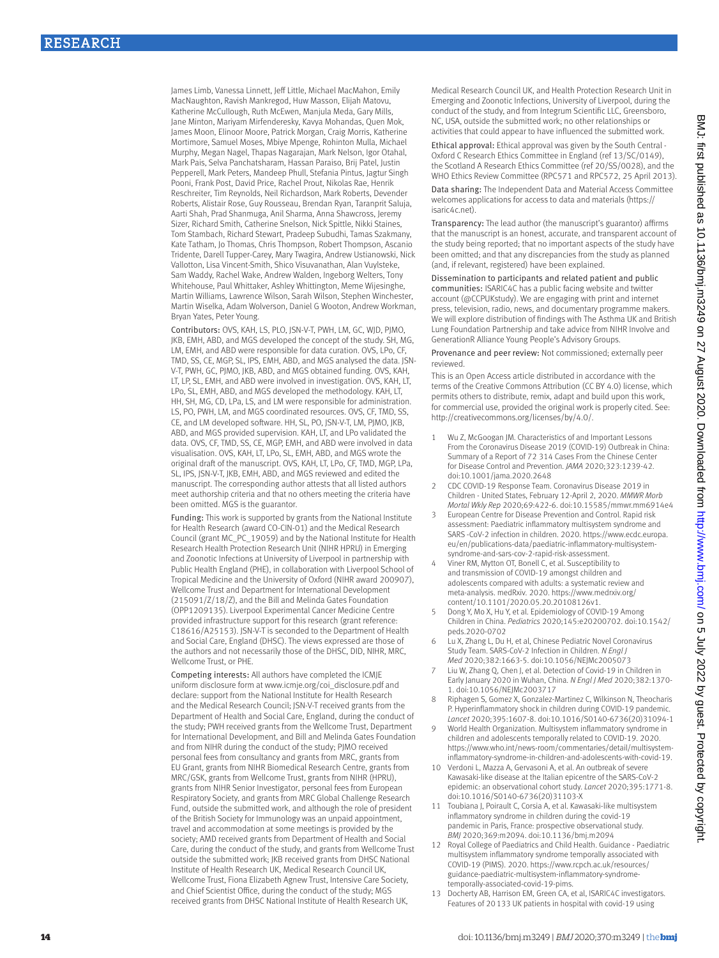James Limb, Vanessa Linnett, Jeff Little, Michael MacMahon, Emily MacNaughton, Ravish Mankregod, Huw Masson, Elijah Matovu, Katherine McCullough, Ruth McEwen, Manjula Meda, Gary Mills, Jane Minton, Mariyam Mirfenderesky, Kavya Mohandas, Quen Mok, James Moon, Elinoor Moore, Patrick Morgan, Craig Morris, Katherine Mortimore, Samuel Moses, Mbiye Mpenge, Rohinton Mulla, Michael Murphy, Megan Nagel, Thapas Nagarajan, Mark Nelson, Igor Otahal, Mark Pais, Selva Panchatsharam, Hassan Paraiso, Brij Patel, Justin Pepperell, Mark Peters, Mandeep Phull, Stefania Pintus, Jagtur Singh Pooni, Frank Post, David Price, Rachel Prout, Nikolas Rae, Henrik Reschreiter, Tim Reynolds, Neil Richardson, Mark Roberts, Devender Roberts, Alistair Rose, Guy Rousseau, Brendan Ryan, Taranprit Saluja, Aarti Shah, Prad Shanmuga, Anil Sharma, Anna Shawcross, Jeremy Sizer, Richard Smith, Catherine Snelson, Nick Spittle, Nikki Staines, Tom Stambach, Richard Stewart, Pradeep Subudhi, Tamas Szakmany, Kate Tatham, Jo Thomas, Chris Thompson, Robert Thompson, Ascanio Tridente, Darell Tupper-Carey, Mary Twagira, Andrew Ustianowski, Nick Vallotton, Lisa Vincent-Smith, Shico Visuvanathan, Alan Vuylsteke, Sam Waddy, Rachel Wake, Andrew Walden, Ingeborg Welters, Tony Whitehouse, Paul Whittaker, Ashley Whittington, Meme Wijesinghe, Martin Williams, Lawrence Wilson, Sarah Wilson, Stephen Winchester, Martin Wiselka, Adam Wolverson, Daniel G Wooton, Andrew Workman, Bryan Yates, Peter Young.

Contributors: OVS, KAH, LS, PLO, JSN-V-T, PWH, LM, GC, WJD, PJMO, JKB, EMH, ABD, and MGS developed the concept of the study. SH, MG, LM, EMH, and ABD were responsible for data curation. OVS, LPo, CF, TMD, SS, CE, MGP, SL, IPS, EMH, ABD, and MGS analysed the data. JSN-V-T, PWH, GC, PIMO, IKB, ABD, and MGS obtained funding, OVS, KAH, LT, LP, SL, EMH, and ABD were involved in investigation. OVS, KAH, LT, LPo, SL, EMH, ABD, and MGS developed the methodology. KAH, LT, HH, SH, MG, CD, LPa, LS, and LM were responsible for administration. LS, PO, PWH, LM, and MGS coordinated resources. OVS, CF, TMD, SS, CE, and LM developed software. HH, SL, PO, JSN-V-T, LM, PJMO, JKB, ABD, and MGS provided supervision. KAH, LT, and LPo validated the data. OVS, CF, TMD, SS, CE, MGP, EMH, and ABD were involved in data visualisation. OVS, KAH, LT, LPo, SL, EMH, ABD, and MGS wrote the original draft of the manuscript. OVS, KAH, LT, LPo, CF, TMD, MGP, LPa, SL, IPS, JSN-V-T, JKB, EMH, ABD, and MGS reviewed and edited the manuscript. The corresponding author attests that all listed authors meet authorship criteria and that no others meeting the criteria have been omitted. MGS is the guarantor.

Funding: This work is supported by grants from the National Institute for Health Research (award CO-CIN-01) and the Medical Research Council (grant MC\_PC\_19059) and by the National Institute for Health Research Health Protection Research Unit (NIHR HPRU) in Emerging and Zoonotic Infections at University of Liverpool in partnership with Public Health England (PHE), in collaboration with Liverpool School of Tropical Medicine and the University of Oxford (NIHR award 200907), Wellcome Trust and Department for International Development (215091/Z/18/Z), and the Bill and Melinda Gates Foundation (OPP1209135). Liverpool Experimental Cancer Medicine Centre provided infrastructure support for this research (grant reference: C18616/A25153). JSN-V-T is seconded to the Department of Health and Social Care, England (DHSC). The views expressed are those of the authors and not necessarily those of the DHSC, DID, NIHR, MRC, Wellcome Trust, or PHE.

Competing interests: All authors have completed the ICMJE uniform disclosure form at [www.icmje.org/coi\\_disclosure.pdf](http://www.icmje.org/coi_disclosure.pdf) and declare: support from the National Institute for Health Research and the Medical Research Council; JSN-V-T received grants from the Department of Health and Social Care, England, during the conduct of the study; PWH received grants from the Wellcome Trust, Department for International Development, and Bill and Melinda Gates Foundation and from NIHR during the conduct of the study; PJMO received personal fees from consultancy and grants from MRC, grants from EU Grant, grants from NIHR Biomedical Research Centre, grants from MRC/GSK, grants from Wellcome Trust, grants from NIHR (HPRU), grants from NIHR Senior Investigator, personal fees from European Respiratory Society, and grants from MRC Global Challenge Research Fund, outside the submitted work, and although the role of president of the British Society for Immunology was an unpaid appointment, travel and accommodation at some meetings is provided by the society; AMD received grants from Department of Health and Social Care, during the conduct of the study, and grants from Wellcome Trust outside the submitted work; JKB received grants from DHSC National Institute of Health Research UK, Medical Research Council UK, Wellcome Trust, Fiona Elizabeth Agnew Trust, Intensive Care Society, and Chief Scientist Office, during the conduct of the study; MGS received grants from DHSC National Institute of Health Research UK,

Medical Research Council UK, and Health Protection Research Unit in Emerging and Zoonotic Infections, University of Liverpool, during the conduct of the study, and from Integrum Scientific LLC, Greensboro, NC, USA, outside the submitted work; no other relationships or activities that could appear to have influenced the submitted work.

Ethical approval: Ethical approval was given by the South Central - Oxford C Research Ethics Committee in England (ref 13/SC/0149), the Scotland A Research Ethics Committee (ref 20/SS/0028), and the WHO Ethics Review Committee (RPC571 and RPC572, 25 April 2013).

Data sharing: The Independent Data and Material Access Committee welcomes applications for access to data and materials [\(https://](https://isaric4c.net) [isaric4c.net\)](https://isaric4c.net).

Transparency: The lead author (the manuscript's guarantor) affirms that the manuscript is an honest, accurate, and transparent account of the study being reported; that no important aspects of the study have been omitted; and that any discrepancies from the study as planned (and, if relevant, registered) have been explained.

Dissemination to participants and related patient and public communities: ISARIC4C has a public facing website and twitter account [\(@CCPUKstudy\)](https://twitter.com/CCPUKstudy). We are engaging with print and internet press, television, radio, news, and documentary programme makers. We will explore distribution of findings with The Asthma UK and British Lung Foundation Partnership and take advice from NIHR Involve and GenerationR Alliance Young People's Advisory Groups.

Provenance and peer review: Not commissioned; externally peer reviewed.

This is an Open Access article distributed in accordance with the terms of the Creative Commons Attribution (CC BY 4.0) license, which permits others to distribute, remix, adapt and build upon this work, for commercial use, provided the original work is properly cited. See: <http://creativecommons.org/licenses/by/4.0/>.

- Wu Z, McGoogan JM. Characteristics of and Important Lessons From the Coronavirus Disease 2019 (COVID-19) Outbreak in China: Summary of a Report of 72 314 Cases From the Chinese Center for Disease Control and Prevention. *JAMA* 2020;323:1239-42. doi:10.1001/jama.2020.2648
- 2 CDC COVID-19 Response Team. Coronavirus Disease 2019 in Children - United States, February 12-April 2, 2020. *MMWR Morb Mortal Wkly Rep* 2020;69:422-6. doi:10.15585/mmwr.mm6914e4
- 3 European Centre for Disease Prevention and Control. Rapid risk assessment: Paediatric inflammatory multisystem syndrome and SARS -CoV-2 infection in children. 2020. [https://www.ecdc.europa.](https://www.ecdc.europa.eu/en/publications-data/paediatric-inflammatory-multisystem-syndrome-and-sars-cov-2-rapid-risk-assessment) [eu/en/publications-data/paediatric-inflammatory-multisystem](https://www.ecdc.europa.eu/en/publications-data/paediatric-inflammatory-multisystem-syndrome-and-sars-cov-2-rapid-risk-assessment)[syndrome-and-sars-cov-2-rapid-risk-assessment.](https://www.ecdc.europa.eu/en/publications-data/paediatric-inflammatory-multisystem-syndrome-and-sars-cov-2-rapid-risk-assessment)
- 4 Viner RM, Mytton OT, Bonell C, et al. Susceptibility to and transmission of COVID-19 amongst children and adolescents compared with adults: a systematic review and meta-analysis. medRxiv. 2020. [https://www.medrxiv.org/](https://www.medrxiv.org/content/10.1101/2020.05.20.20108126v1) [content/10.1101/2020.05.20.20108126v1](https://www.medrxiv.org/content/10.1101/2020.05.20.20108126v1).
- 5 Dong Y, Mo X, Hu Y, et al. Epidemiology of COVID-19 Among Children in China. *Pediatrics* 2020;145:e20200702. doi:10.1542/ peds.2020-0702
- Lu X, Zhang L, Du H, et al, Chinese Pediatric Novel Coronavirus Study Team. SARS-CoV-2 Infection in Children. *N Engl J Med* 2020;382:1663-5. doi:10.1056/NEJMc2005073
- Liu W, Zhang Q, Chen J, et al. Detection of Covid-19 in Children in Early January 2020 in Wuhan, China. *N Engl J Med* 2020;382:1370- 1. doi:10.1056/NEJMc2003717
- 8 Riphagen S, Gomez X, Gonzalez-Martinez C, Wilkinson N, Theocharis P. Hyperinflammatory shock in children during COVID-19 pandemic. *Lancet* 2020;395:1607-8. doi:10.1016/S0140-6736(20)31094-1
- 9 World Health Organization. Multisystem inflammatory syndrome in children and adolescents temporally related to COVID-19. 2020. [https://www.who.int/news-room/commentaries/detail/multisystem](https://www.who.int/news-room/commentaries/detail/multisystem-inflammatory-syndrome-in-children-and-adolescents-with-covid-19)[inflammatory-syndrome-in-children-and-adolescents-with-covid-19.](https://www.who.int/news-room/commentaries/detail/multisystem-inflammatory-syndrome-in-children-and-adolescents-with-covid-19)
- 10 Verdoni L, Mazza A, Gervasoni A, et al. An outbreak of severe Kawasaki-like disease at the Italian epicentre of the SARS-CoV-2 epidemic: an observational cohort study. *Lancet* 2020;395:1771-8. doi:10.1016/S0140-6736(20)31103-X
- 11 Toubiana J, Poirault C, Corsia A, et al. Kawasaki-like multisystem inflammatory syndrome in children during the covid-19 pandemic in Paris, France: prospective observational study. *BMJ* 2020;369:m2094. doi:10.1136/bmj.m2094
- 12 Royal College of Paediatrics and Child Health. Guidance Paediatric multisystem inflammatory syndrome temporally associated with COVID-19 (PIMS). 2020. [https://www.rcpch.ac.uk/resources/](https://www.rcpch.ac.uk/resources/guidance-paediatric-multisystem-inflammatory-syndrome-temporally-associated-covid-19-pims) [guidance-paediatric-multisystem-inflammatory-syndrome](https://www.rcpch.ac.uk/resources/guidance-paediatric-multisystem-inflammatory-syndrome-temporally-associated-covid-19-pims)[temporally-associated-covid-19-pims.](https://www.rcpch.ac.uk/resources/guidance-paediatric-multisystem-inflammatory-syndrome-temporally-associated-covid-19-pims)
- Docherty AB, Harrison EM, Green CA, et al, ISARIC4C investigators. Features of 20133 UK patients in hospital with covid-19 using